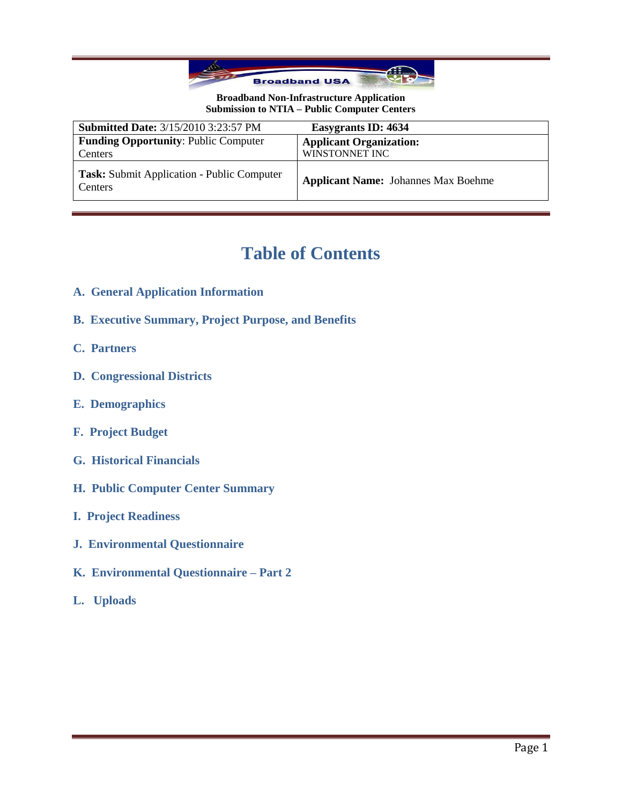

| <b>Submitted Date: 3/15/2010 3:23:57 PM</b>                  | Easygrants ID: 4634                        |
|--------------------------------------------------------------|--------------------------------------------|
| <b>Funding Opportunity: Public Computer</b>                  | <b>Applicant Organization:</b>             |
| Centers                                                      | WINSTONNET INC                             |
| <b>Task:</b> Submit Application - Public Computer<br>Centers | <b>Applicant Name:</b> Johannes Max Boehme |

# **Table of Contents**

- **A. General Application Information**
- **B. Executive Summary, Project Purpose, and Benefits**
- **C. Partners**
- **D. Congressional Districts**
- **E. Demographics**
- **F. Project Budget**
- **G. Historical Financials**
- **H. Public Computer Center Summary**
- **I. Project Readiness**
- **J. Environmental Questionnaire**
- **K. Environmental Questionnaire – Part 2**
- **L. Uploads**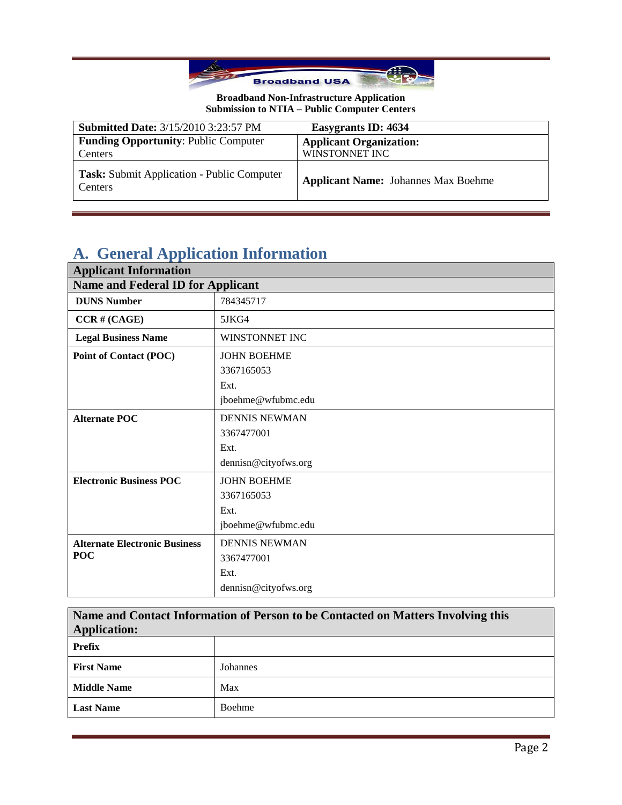

| <b>Submitted Date: 3/15/2010 3:23:57 PM</b>           | Easygrants ID: 4634                        |
|-------------------------------------------------------|--------------------------------------------|
| <b>Funding Opportunity: Public Computer</b>           | <b>Applicant Organization:</b>             |
| Centers                                               | WINSTONNET INC                             |
| Task: Submit Application - Public Computer<br>Centers | <b>Applicant Name:</b> Johannes Max Boehme |

# **A. General Application Information**

| <b>Applicant Information</b>         |                                          |  |
|--------------------------------------|------------------------------------------|--|
|                                      | <b>Name and Federal ID for Applicant</b> |  |
| <b>DUNS Number</b>                   | 784345717                                |  |
| $CCR \# (CAGE)$                      | 5JKG4                                    |  |
| <b>Legal Business Name</b>           | WINSTONNET INC                           |  |
| Point of Contact (POC)               | <b>JOHN BOEHME</b>                       |  |
|                                      | 3367165053                               |  |
|                                      | Ext.                                     |  |
|                                      | jboehme@wfubmc.edu                       |  |
| <b>Alternate POC</b>                 | <b>DENNIS NEWMAN</b>                     |  |
|                                      | 3367477001                               |  |
|                                      | Ext.                                     |  |
|                                      | dennisn@cityofws.org                     |  |
| <b>Electronic Business POC</b>       | <b>JOHN BOEHME</b>                       |  |
|                                      | 3367165053                               |  |
|                                      | Ext.                                     |  |
|                                      | jboehme@wfubmc.edu                       |  |
| <b>Alternate Electronic Business</b> | <b>DENNIS NEWMAN</b>                     |  |
| <b>POC</b>                           | 3367477001                               |  |
|                                      | Ext.                                     |  |
|                                      | dennisn@cityofws.org                     |  |

**Name and Contact Information of Person to be Contacted on Matters Involving this Application:**

| . .                |          |
|--------------------|----------|
| <b>Prefix</b>      |          |
| <b>First Name</b>  | Johannes |
| <b>Middle Name</b> | Max      |
| <b>Last Name</b>   | Boehme   |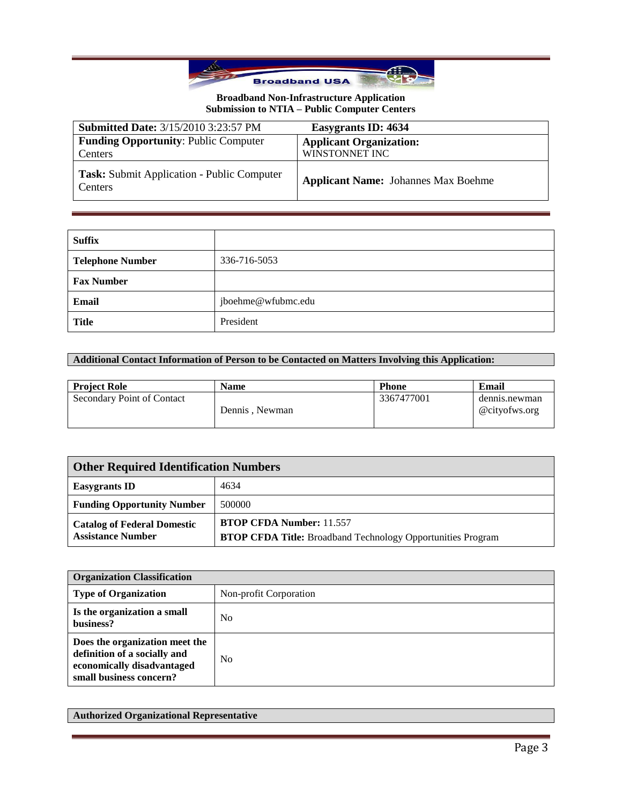

| <b>Submitted Date: 3/15/2010 3:23:57 PM</b>            | Easygrants ID: 4634                              |
|--------------------------------------------------------|--------------------------------------------------|
| <b>Funding Opportunity: Public Computer</b><br>Centers | <b>Applicant Organization:</b><br>WINSTONNET INC |
| Task: Submit Application - Public Computer<br>Centers  | <b>Applicant Name:</b> Johannes Max Boehme       |

| <b>Suffix</b>           |                    |
|-------------------------|--------------------|
| <b>Telephone Number</b> | 336-716-5053       |
| <b>Fax Number</b>       |                    |
| Email                   | jboehme@wfubmc.edu |
| <b>Title</b>            | President          |

## **Additional Contact Information of Person to be Contacted on Matters Involving this Application:**

| <b>Project Role</b>        | <b>Name</b>    | <b>Phone</b> | Email                          |
|----------------------------|----------------|--------------|--------------------------------|
| Secondary Point of Contact | Dennis, Newman | 3367477001   | dennis.newman<br>@cityofws.org |

| <b>Other Required Identification Numbers</b>                   |                                                                                                       |
|----------------------------------------------------------------|-------------------------------------------------------------------------------------------------------|
| <b>Easygrants ID</b>                                           | 4634                                                                                                  |
| <b>Funding Opportunity Number</b>                              | 500000                                                                                                |
| <b>Catalog of Federal Domestic</b><br><b>Assistance Number</b> | <b>BTOP CFDA Number: 11.557</b><br><b>BTOP CFDA Title:</b> Broadband Technology Opportunities Program |

| <b>Organization Classification</b>                                                                                      |                        |
|-------------------------------------------------------------------------------------------------------------------------|------------------------|
| <b>Type of Organization</b>                                                                                             | Non-profit Corporation |
| Is the organization a small<br>business?                                                                                | No                     |
| Does the organization meet the<br>definition of a socially and<br>economically disadvantaged<br>small business concern? | N <sub>0</sub>         |

## **Authorized Organizational Representative**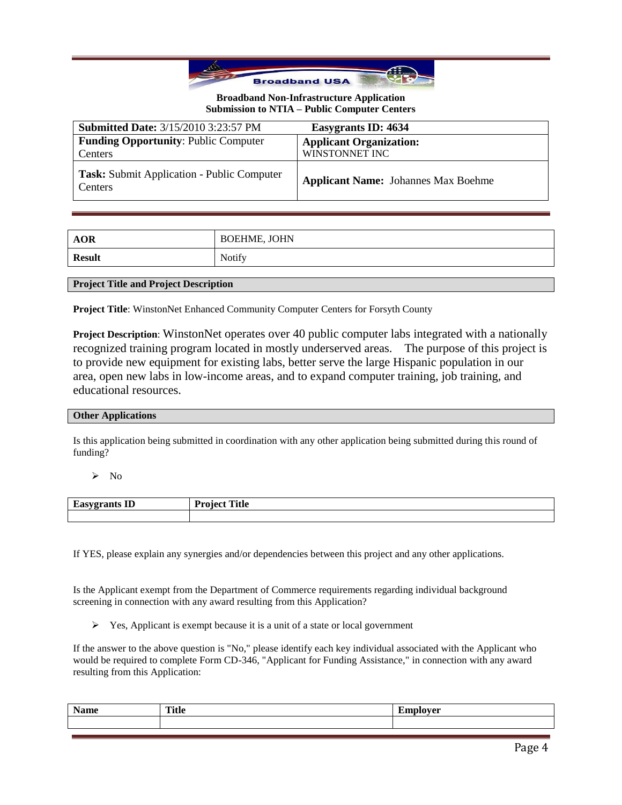

| <b>Submitted Date: 3/15/2010 3:23:57 PM</b>                  | Easygrants ID: 4634                              |
|--------------------------------------------------------------|--------------------------------------------------|
| <b>Funding Opportunity: Public Computer</b><br>Centers       | <b>Applicant Organization:</b><br>WINSTONNET INC |
| <b>Task:</b> Submit Application - Public Computer<br>Centers | <b>Applicant Name:</b> Johannes Max Boehme       |

| <b>AOR</b>    | <b>BOEHME, JOHN</b> |
|---------------|---------------------|
| <b>Result</b> | Notify              |

#### **Project Title and Project Description**

**Project Title**: WinstonNet Enhanced Community Computer Centers for Forsyth County

**Project Description**: WinstonNet operates over 40 public computer labs integrated with a nationally recognized training program located in mostly underserved areas. The purpose of this project is to provide new equipment for existing labs, better serve the large Hispanic population in our area, open new labs in low-income areas, and to expand computer training, job training, and educational resources.

#### **Other Applications**

Is this application being submitted in coordination with any other application being submitted during this round of funding?

 $\triangleright$  No

| $\overline{\phantom{a}}$<br>$-$<br>שב י<br>്കാ<br>ື້<br>- | rane.<br>D.,<br>----<br>$\blacksquare$<br>-<br>. . |
|-----------------------------------------------------------|----------------------------------------------------|
|                                                           |                                                    |

If YES, please explain any synergies and/or dependencies between this project and any other applications.

Is the Applicant exempt from the Department of Commerce requirements regarding individual background screening in connection with any award resulting from this Application?

 $\triangleright$  Yes, Applicant is exempt because it is a unit of a state or local government

If the answer to the above question is "No," please identify each key individual associated with the Applicant who would be required to complete Form CD-346, "Applicant for Funding Assistance," in connection with any award resulting from this Application:

| <b>NT</b> | <br>. |
|-----------|-------|
|           |       |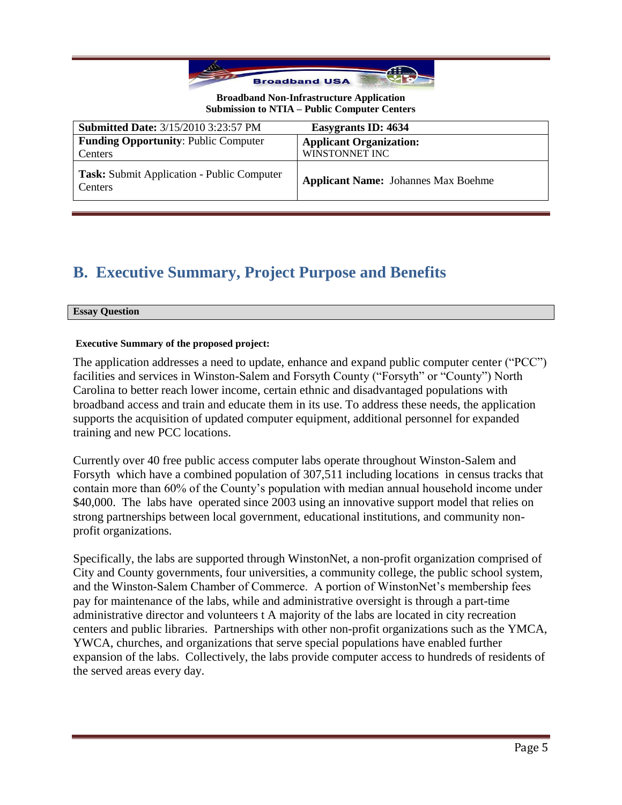

| <b>Submitted Date: 3/15/2010 3:23:57 PM</b>           | <b>Easygrants ID: 4634</b>                 |
|-------------------------------------------------------|--------------------------------------------|
| <b>Funding Opportunity: Public Computer</b>           | <b>Applicant Organization:</b>             |
| Centers                                               | WINSTONNET INC                             |
| Task: Submit Application - Public Computer<br>Centers | <b>Applicant Name:</b> Johannes Max Boehme |

# **B. Executive Summary, Project Purpose and Benefits**

#### **Essay Question**

### **Executive Summary of the proposed project:**

The application addresses a need to update, enhance and expand public computer center ("PCC") facilities and services in Winston-Salem and Forsyth County ("Forsyth" or "County") North Carolina to better reach lower income, certain ethnic and disadvantaged populations with broadband access and train and educate them in its use. To address these needs, the application supports the acquisition of updated computer equipment, additional personnel for expanded training and new PCC locations.

Currently over 40 free public access computer labs operate throughout Winston-Salem and Forsyth which have a combined population of 307,511 including locations in census tracks that contain more than 60% of the County's population with median annual household income under \$40,000. The labs have operated since 2003 using an innovative support model that relies on strong partnerships between local government, educational institutions, and community nonprofit organizations.

Specifically, the labs are supported through WinstonNet, a non-profit organization comprised of City and County governments, four universities, a community college, the public school system, and the Winston-Salem Chamber of Commerce. A portion of WinstonNet's membership fees pay for maintenance of the labs, while and administrative oversight is through a part-time administrative director and volunteers t A majority of the labs are located in city recreation centers and public libraries. Partnerships with other non-profit organizations such as the YMCA, YWCA, churches, and organizations that serve special populations have enabled further expansion of the labs. Collectively, the labs provide computer access to hundreds of residents of the served areas every day.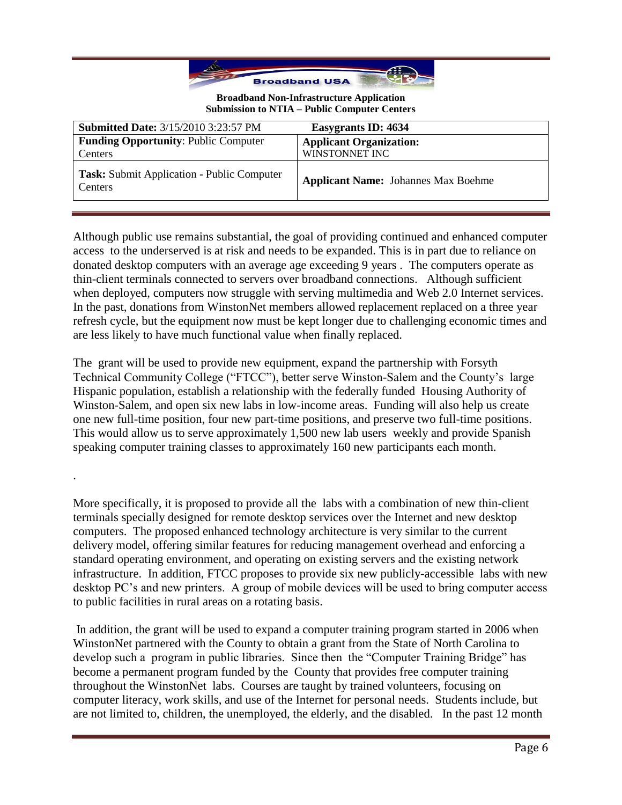

| <b>Submitted Date: 3/15/2010 3:23:57 PM</b>                         | Easygrants ID: 4634                        |
|---------------------------------------------------------------------|--------------------------------------------|
| <b>Funding Opportunity: Public Computer</b>                         | <b>Applicant Organization:</b>             |
| Centers                                                             | WINSTONNET INC                             |
| <b>Task:</b> Submit Application - Public Computer<br><b>Centers</b> | <b>Applicant Name:</b> Johannes Max Boehme |

Although public use remains substantial, the goal of providing continued and enhanced computer access to the underserved is at risk and needs to be expanded. This is in part due to reliance on donated desktop computers with an average age exceeding 9 years . The computers operate as thin-client terminals connected to servers over broadband connections. Although sufficient when deployed, computers now struggle with serving multimedia and Web 2.0 Internet services. In the past, donations from WinstonNet members allowed replacement replaced on a three year refresh cycle, but the equipment now must be kept longer due to challenging economic times and are less likely to have much functional value when finally replaced.

The grant will be used to provide new equipment, expand the partnership with Forsyth Technical Community College ("FTCC"), better serve Winston-Salem and the County's large Hispanic population, establish a relationship with the federally funded Housing Authority of Winston-Salem, and open six new labs in low-income areas. Funding will also help us create one new full-time position, four new part-time positions, and preserve two full-time positions. This would allow us to serve approximately 1,500 new lab users weekly and provide Spanish speaking computer training classes to approximately 160 new participants each month.

.

More specifically, it is proposed to provide all the labs with a combination of new thin-client terminals specially designed for remote desktop services over the Internet and new desktop computers. The proposed enhanced technology architecture is very similar to the current delivery model, offering similar features for reducing management overhead and enforcing a standard operating environment, and operating on existing servers and the existing network infrastructure. In addition, FTCC proposes to provide six new publicly-accessible labs with new desktop PC's and new printers. A group of mobile devices will be used to bring computer access to public facilities in rural areas on a rotating basis.

In addition, the grant will be used to expand a computer training program started in 2006 when WinstonNet partnered with the County to obtain a grant from the State of North Carolina to develop such a program in public libraries. Since then the "Computer Training Bridge" has become a permanent program funded by the County that provides free computer training throughout the WinstonNet labs. Courses are taught by trained volunteers, focusing on computer literacy, work skills, and use of the Internet for personal needs. Students include, but are not limited to, children, the unemployed, the elderly, and the disabled. In the past 12 month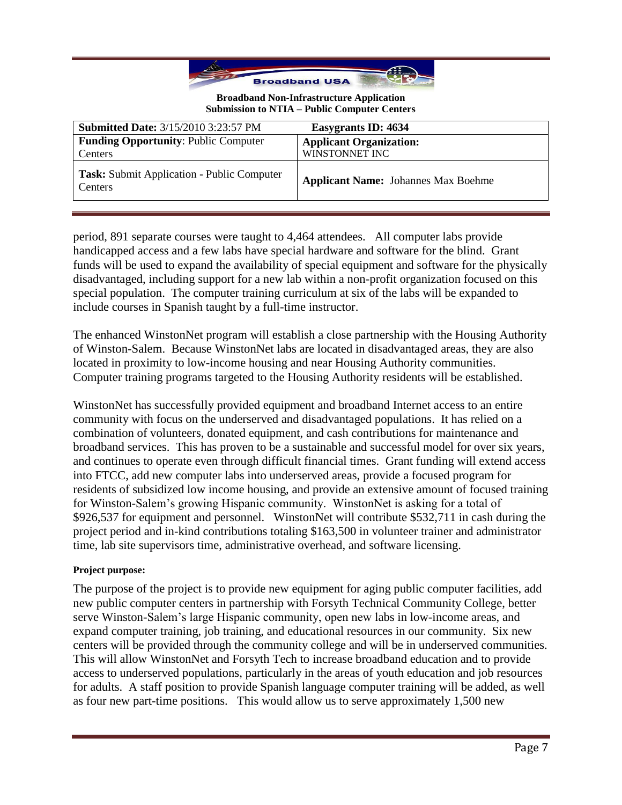

| <b>Submitted Date: 3/15/2010 3:23:57 PM</b>           | Easygrants ID: 4634                        |
|-------------------------------------------------------|--------------------------------------------|
| <b>Funding Opportunity: Public Computer</b>           | <b>Applicant Organization:</b>             |
| Centers                                               | WINSTONNET INC                             |
| Task: Submit Application - Public Computer<br>Centers | <b>Applicant Name:</b> Johannes Max Boehme |

period, 891 separate courses were taught to 4,464 attendees. All computer labs provide handicapped access and a few labs have special hardware and software for the blind. Grant funds will be used to expand the availability of special equipment and software for the physically disadvantaged, including support for a new lab within a non-profit organization focused on this special population. The computer training curriculum at six of the labs will be expanded to include courses in Spanish taught by a full-time instructor.

The enhanced WinstonNet program will establish a close partnership with the Housing Authority of Winston-Salem. Because WinstonNet labs are located in disadvantaged areas, they are also located in proximity to low-income housing and near Housing Authority communities. Computer training programs targeted to the Housing Authority residents will be established.

WinstonNet has successfully provided equipment and broadband Internet access to an entire community with focus on the underserved and disadvantaged populations. It has relied on a combination of volunteers, donated equipment, and cash contributions for maintenance and broadband services. This has proven to be a sustainable and successful model for over six years, and continues to operate even through difficult financial times. Grant funding will extend access into FTCC, add new computer labs into underserved areas, provide a focused program for residents of subsidized low income housing, and provide an extensive amount of focused training for Winston-Salem's growing Hispanic community. WinstonNet is asking for a total of \$926,537 for equipment and personnel. WinstonNet will contribute \$532,711 in cash during the project period and in-kind contributions totaling \$163,500 in volunteer trainer and administrator time, lab site supervisors time, administrative overhead, and software licensing.

### **Project purpose:**

The purpose of the project is to provide new equipment for aging public computer facilities, add new public computer centers in partnership with Forsyth Technical Community College, better serve Winston-Salem's large Hispanic community, open new labs in low-income areas, and expand computer training, job training, and educational resources in our community. Six new centers will be provided through the community college and will be in underserved communities. This will allow WinstonNet and Forsyth Tech to increase broadband education and to provide access to underserved populations, particularly in the areas of youth education and job resources for adults. A staff position to provide Spanish language computer training will be added, as well as four new part-time positions. This would allow us to serve approximately 1,500 new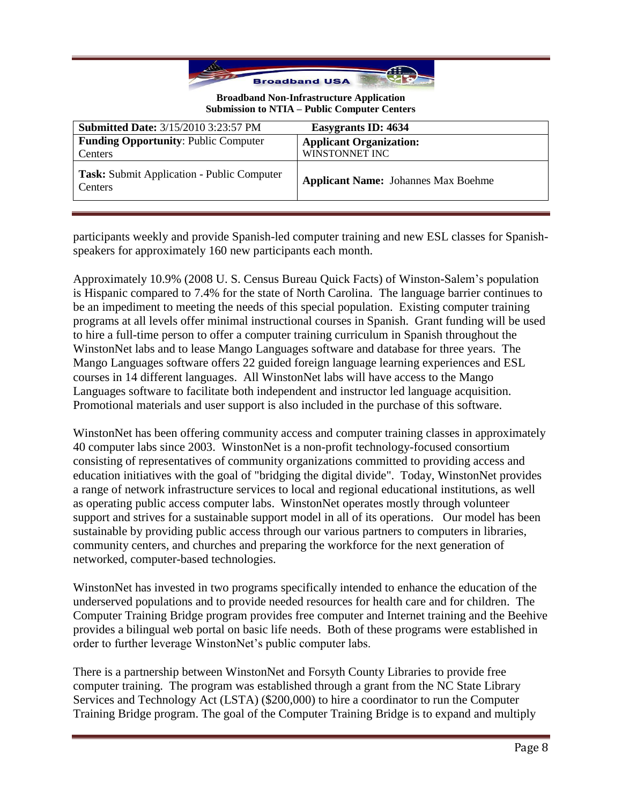

| <b>Submitted Date: 3/15/2010 3:23:57 PM</b>           | Easygrants ID: 4634                        |
|-------------------------------------------------------|--------------------------------------------|
| <b>Funding Opportunity: Public Computer</b>           | <b>Applicant Organization:</b>             |
| Centers                                               | WINSTONNET INC                             |
| Task: Submit Application - Public Computer<br>Centers | <b>Applicant Name:</b> Johannes Max Boehme |

participants weekly and provide Spanish-led computer training and new ESL classes for Spanishspeakers for approximately 160 new participants each month.

Approximately 10.9% (2008 U. S. Census Bureau Quick Facts) of Winston-Salem's population is Hispanic compared to 7.4% for the state of North Carolina. The language barrier continues to be an impediment to meeting the needs of this special population. Existing computer training programs at all levels offer minimal instructional courses in Spanish. Grant funding will be used to hire a full-time person to offer a computer training curriculum in Spanish throughout the WinstonNet labs and to lease Mango Languages software and database for three years. The Mango Languages software offers 22 guided foreign language learning experiences and ESL courses in 14 different languages. All WinstonNet labs will have access to the Mango Languages software to facilitate both independent and instructor led language acquisition. Promotional materials and user support is also included in the purchase of this software.

WinstonNet has been offering community access and computer training classes in approximately 40 computer labs since 2003. WinstonNet is a non-profit technology-focused consortium consisting of representatives of community organizations committed to providing access and education initiatives with the goal of "bridging the digital divide". Today, WinstonNet provides a range of network infrastructure services to local and regional educational institutions, as well as operating public access computer labs. WinstonNet operates mostly through volunteer support and strives for a sustainable support model in all of its operations. Our model has been sustainable by providing public access through our various partners to computers in libraries, community centers, and churches and preparing the workforce for the next generation of networked, computer-based technologies.

WinstonNet has invested in two programs specifically intended to enhance the education of the underserved populations and to provide needed resources for health care and for children. The Computer Training Bridge program provides free computer and Internet training and the Beehive provides a bilingual web portal on basic life needs. Both of these programs were established in order to further leverage WinstonNet's public computer labs.

There is a partnership between WinstonNet and Forsyth County Libraries to provide free computer training. The program was established through a grant from the NC State Library Services and Technology Act (LSTA) (\$200,000) to hire a coordinator to run the Computer Training Bridge program. The goal of the Computer Training Bridge is to expand and multiply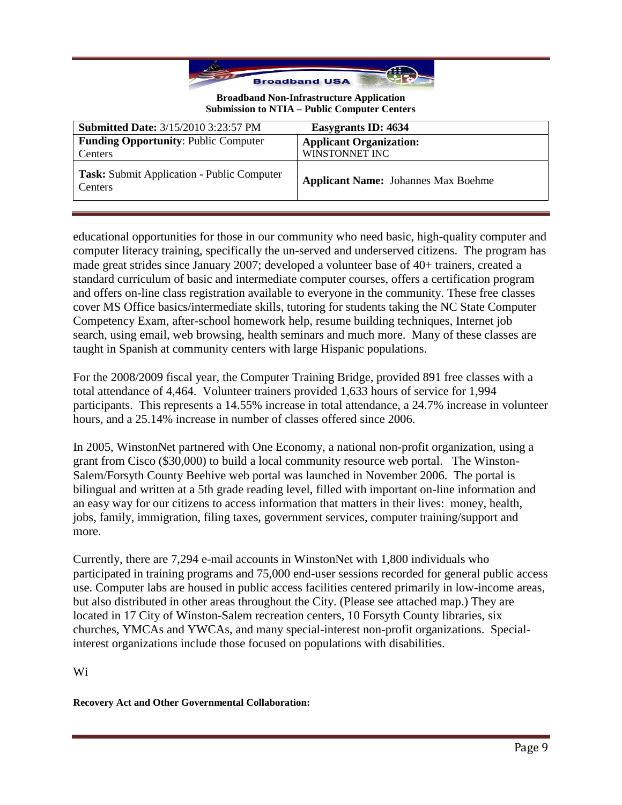

| <b>Submitted Date: 3/15/2010 3:23:57 PM</b>                  | Easygrants ID: 4634                        |
|--------------------------------------------------------------|--------------------------------------------|
| <b>Funding Opportunity: Public Computer</b>                  | <b>Applicant Organization:</b>             |
| Centers                                                      | WINSTONNET INC                             |
| Task: Submit Application - Public Computer<br><b>Centers</b> | <b>Applicant Name:</b> Johannes Max Boehme |

educational opportunities for those in our community who need basic, high-quality computer and computer literacy training, specifically the un-served and underserved citizens. The program has made great strides since January 2007; developed a volunteer base of 40+ trainers, created a standard curriculum of basic and intermediate computer courses, offers a certification program and offers on-line class registration available to everyone in the community. These free classes cover MS Office basics/intermediate skills, tutoring for students taking the NC State Computer Competency Exam, after-school homework help, resume building techniques, Internet job search, using email, web browsing, health seminars and much more. Many of these classes are taught in Spanish at community centers with large Hispanic populations.

For the 2008/2009 fiscal year, the Computer Training Bridge, provided 891 free classes with a total attendance of 4,464. Volunteer trainers provided 1,633 hours of service for 1,994 participants. This represents a 14.55% increase in total attendance, a 24.7% increase in volunteer hours, and a 25.14% increase in number of classes offered since 2006.

In 2005, WinstonNet partnered with One Economy, a national non-profit organization, using a grant from Cisco (\$30,000) to build a local community resource web portal. The Winston-Salem/Forsyth County Beehive web portal was launched in November 2006. The portal is bilingual and written at a 5th grade reading level, filled with important on-line information and an easy way for our citizens to access information that matters in their lives: money, health, jobs, family, immigration, filing taxes, government services, computer training/support and more.

Currently, there are 7,294 e-mail accounts in WinstonNet with 1,800 individuals who participated in training programs and 75,000 end-user sessions recorded for general public access use. Computer labs are housed in public access facilities centered primarily in low-income areas, but also distributed in other areas throughout the City. (Please see attached map.) They are located in 17 City of Winston-Salem recreation centers, 10 Forsyth County libraries, six churches, YMCAs and YWCAs, and many special-interest non-profit organizations. Specialinterest organizations include those focused on populations with disabilities.

Wi

**Recovery Act and Other Governmental Collaboration:**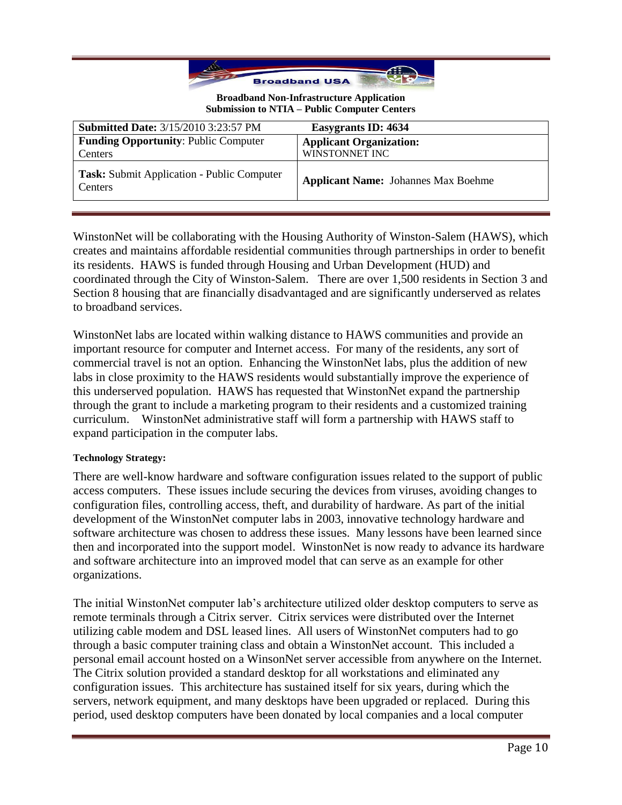

| <b>Submitted Date: 3/15/2010 3:23:57 PM</b>                  | <b>Easygrants ID: 4634</b>                 |
|--------------------------------------------------------------|--------------------------------------------|
| <b>Funding Opportunity: Public Computer</b>                  | <b>Applicant Organization:</b>             |
| Centers                                                      | WINSTONNET INC                             |
| Task: Submit Application - Public Computer<br><b>Centers</b> | <b>Applicant Name:</b> Johannes Max Boehme |

WinstonNet will be collaborating with the Housing Authority of Winston-Salem (HAWS), which creates and maintains affordable residential communities through partnerships in order to benefit its residents. HAWS is funded through Housing and Urban Development (HUD) and coordinated through the City of Winston-Salem. There are over 1,500 residents in Section 3 and Section 8 housing that are financially disadvantaged and are significantly underserved as relates to broadband services.

WinstonNet labs are located within walking distance to HAWS communities and provide an important resource for computer and Internet access. For many of the residents, any sort of commercial travel is not an option. Enhancing the WinstonNet labs, plus the addition of new labs in close proximity to the HAWS residents would substantially improve the experience of this underserved population. HAWS has requested that WinstonNet expand the partnership through the grant to include a marketing program to their residents and a customized training curriculum. WinstonNet administrative staff will form a partnership with HAWS staff to expand participation in the computer labs.

### **Technology Strategy:**

There are well-know hardware and software configuration issues related to the support of public access computers. These issues include securing the devices from viruses, avoiding changes to configuration files, controlling access, theft, and durability of hardware. As part of the initial development of the WinstonNet computer labs in 2003, innovative technology hardware and software architecture was chosen to address these issues. Many lessons have been learned since then and incorporated into the support model. WinstonNet is now ready to advance its hardware and software architecture into an improved model that can serve as an example for other organizations.

The initial WinstonNet computer lab's architecture utilized older desktop computers to serve as remote terminals through a Citrix server. Citrix services were distributed over the Internet utilizing cable modem and DSL leased lines. All users of WinstonNet computers had to go through a basic computer training class and obtain a WinstonNet account. This included a personal email account hosted on a WinsonNet server accessible from anywhere on the Internet. The Citrix solution provided a standard desktop for all workstations and eliminated any configuration issues. This architecture has sustained itself for six years, during which the servers, network equipment, and many desktops have been upgraded or replaced. During this period, used desktop computers have been donated by local companies and a local computer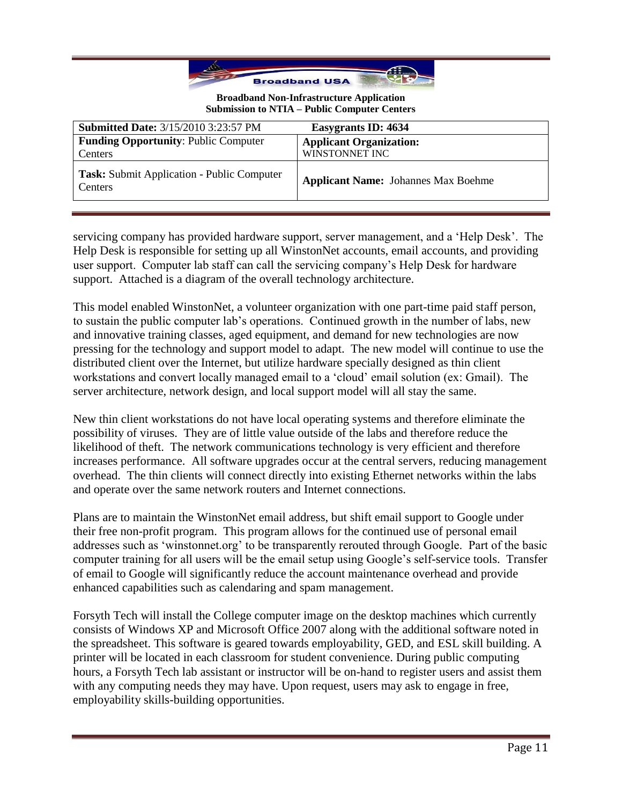

| <b>Submitted Date: 3/15/2010 3:23:57 PM</b>                  | Easygrants ID: 4634                        |
|--------------------------------------------------------------|--------------------------------------------|
| <b>Funding Opportunity: Public Computer</b>                  | <b>Applicant Organization:</b>             |
| Centers                                                      | WINSTONNET INC                             |
| <b>Task:</b> Submit Application - Public Computer<br>Centers | <b>Applicant Name:</b> Johannes Max Boehme |

servicing company has provided hardware support, server management, and a 'Help Desk'. The Help Desk is responsible for setting up all WinstonNet accounts, email accounts, and providing user support. Computer lab staff can call the servicing company's Help Desk for hardware support. Attached is a diagram of the overall technology architecture.

This model enabled WinstonNet, a volunteer organization with one part-time paid staff person, to sustain the public computer lab's operations. Continued growth in the number of labs, new and innovative training classes, aged equipment, and demand for new technologies are now pressing for the technology and support model to adapt. The new model will continue to use the distributed client over the Internet, but utilize hardware specially designed as thin client workstations and convert locally managed email to a 'cloud' email solution (ex: Gmail). The server architecture, network design, and local support model will all stay the same.

New thin client workstations do not have local operating systems and therefore eliminate the possibility of viruses. They are of little value outside of the labs and therefore reduce the likelihood of theft. The network communications technology is very efficient and therefore increases performance. All software upgrades occur at the central servers, reducing management overhead. The thin clients will connect directly into existing Ethernet networks within the labs and operate over the same network routers and Internet connections.

Plans are to maintain the WinstonNet email address, but shift email support to Google under their free non-profit program. This program allows for the continued use of personal email addresses such as ‗winstonnet.org' to be transparently rerouted through Google. Part of the basic computer training for all users will be the email setup using Google's self-service tools. Transfer of email to Google will significantly reduce the account maintenance overhead and provide enhanced capabilities such as calendaring and spam management.

Forsyth Tech will install the College computer image on the desktop machines which currently consists of Windows XP and Microsoft Office 2007 along with the additional software noted in the spreadsheet. This software is geared towards employability, GED, and ESL skill building. A printer will be located in each classroom for student convenience. During public computing hours, a Forsyth Tech lab assistant or instructor will be on-hand to register users and assist them with any computing needs they may have. Upon request, users may ask to engage in free, employability skills-building opportunities.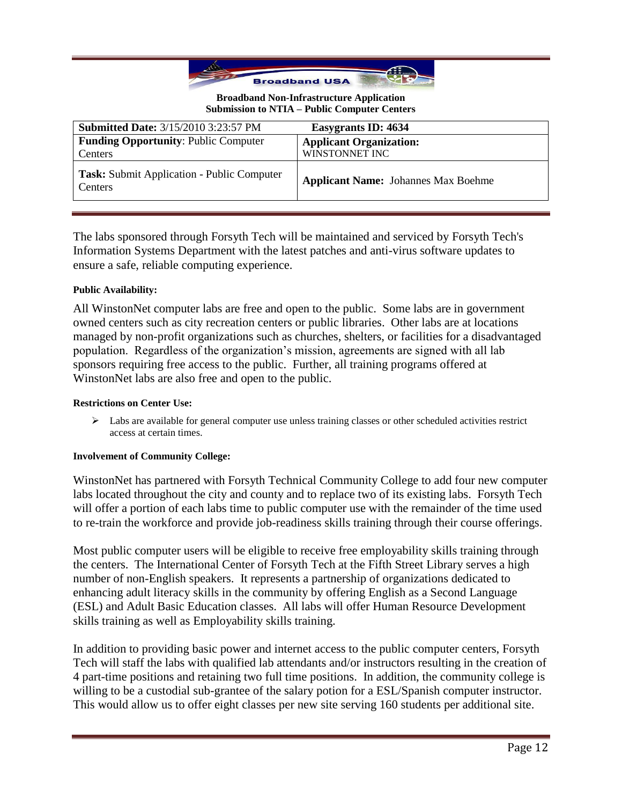

| <b>Submitted Date: 3/15/2010 3:23:57 PM</b>                  | Easygrants ID: 4634                        |
|--------------------------------------------------------------|--------------------------------------------|
| <b>Funding Opportunity: Public Computer</b>                  | <b>Applicant Organization:</b>             |
| Centers                                                      | WINSTONNET INC                             |
| <b>Task:</b> Submit Application - Public Computer<br>Centers | <b>Applicant Name:</b> Johannes Max Boehme |

The labs sponsored through Forsyth Tech will be maintained and serviced by Forsyth Tech's Information Systems Department with the latest patches and anti-virus software updates to ensure a safe, reliable computing experience.

## **Public Availability:**

All WinstonNet computer labs are free and open to the public. Some labs are in government owned centers such as city recreation centers or public libraries. Other labs are at locations managed by non-profit organizations such as churches, shelters, or facilities for a disadvantaged population. Regardless of the organization's mission, agreements are signed with all lab sponsors requiring free access to the public. Further, all training programs offered at WinstonNet labs are also free and open to the public.

#### **Restrictions on Center Use:**

 $\triangleright$  Labs are available for general computer use unless training classes or other scheduled activities restrict access at certain times.

### **Involvement of Community College:**

WinstonNet has partnered with Forsyth Technical Community College to add four new computer labs located throughout the city and county and to replace two of its existing labs. Forsyth Tech will offer a portion of each labs time to public computer use with the remainder of the time used to re-train the workforce and provide job-readiness skills training through their course offerings.

Most public computer users will be eligible to receive free employability skills training through the centers. The International Center of Forsyth Tech at the Fifth Street Library serves a high number of non-English speakers. It represents a partnership of organizations dedicated to enhancing adult literacy skills in the community by offering English as a Second Language (ESL) and Adult Basic Education classes. All labs will offer Human Resource Development skills training as well as Employability skills training.

In addition to providing basic power and internet access to the public computer centers, Forsyth Tech will staff the labs with qualified lab attendants and/or instructors resulting in the creation of 4 part-time positions and retaining two full time positions. In addition, the community college is willing to be a custodial sub-grantee of the salary potion for a ESL/Spanish computer instructor. This would allow us to offer eight classes per new site serving 160 students per additional site.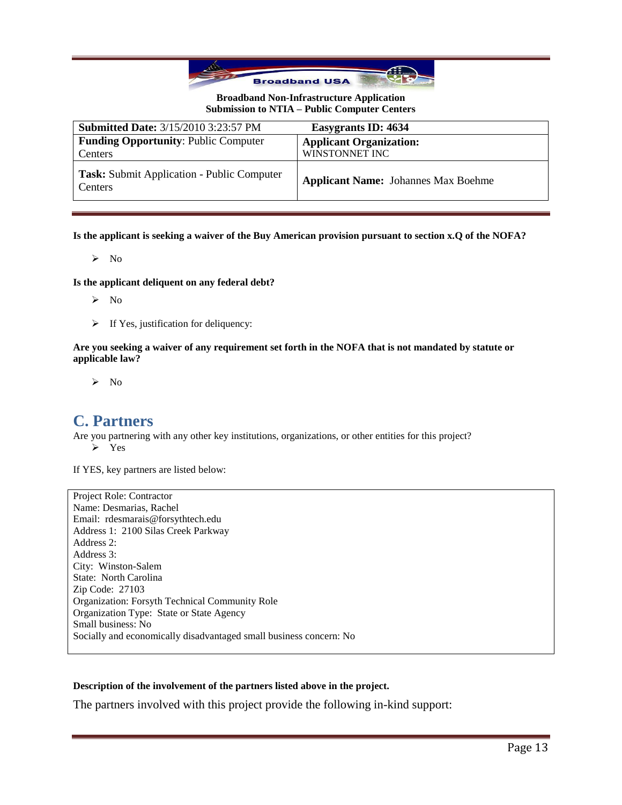

| <b>Submitted Date: 3/15/2010 3:23:57 PM</b>                  | Easygrants ID: 4634                        |
|--------------------------------------------------------------|--------------------------------------------|
| <b>Funding Opportunity: Public Computer</b>                  | <b>Applicant Organization:</b>             |
| Centers                                                      | WINSTONNET INC                             |
| Task: Submit Application - Public Computer<br><b>Centers</b> | <b>Applicant Name:</b> Johannes Max Boehme |

**Is the applicant is seeking a waiver of the Buy American provision pursuant to section x.Q of the NOFA?**

 $\triangleright$  No

**Is the applicant deliquent on any federal debt?**

- $\triangleright$  No
- $\triangleright$  If Yes, justification for deliquency:

**Are you seeking a waiver of any requirement set forth in the NOFA that is not mandated by statute or applicable law?**

 $\triangleright$  No

## **C. Partners**

Are you partnering with any other key institutions, organizations, or other entities for this project? > Yes

If YES, key partners are listed below:

Project Role: Contractor Name: Desmarias, Rachel Email: rdesmarais@forsythtech.edu Address 1: 2100 Silas Creek Parkway Address 2: Address 3: City: Winston-Salem State: North Carolina Zip Code: 27103 Organization: Forsyth Technical Community Role Organization Type: State or State Agency Small business: No Socially and economically disadvantaged small business concern: No

#### **Description of the involvement of the partners listed above in the project.**

The partners involved with this project provide the following in-kind support: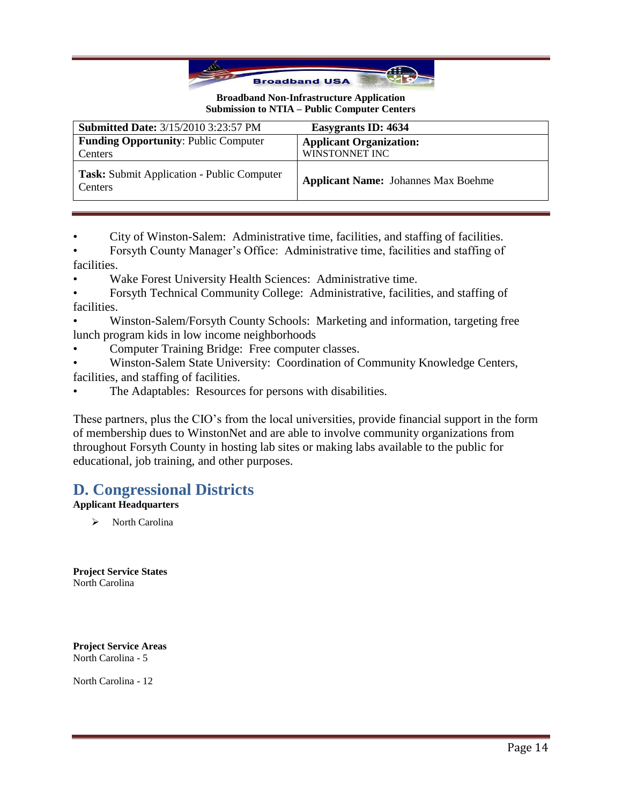

| <b>Submitted Date: 3/15/2010 3:23:57 PM</b>           | Easygrants ID: 4634                        |
|-------------------------------------------------------|--------------------------------------------|
| <b>Funding Opportunity: Public Computer</b>           | <b>Applicant Organization:</b>             |
| Centers                                               | WINSTONNET INC                             |
| Task: Submit Application - Public Computer<br>Centers | <b>Applicant Name:</b> Johannes Max Boehme |

• City of Winston-Salem: Administrative time, facilities, and staffing of facilities.

• Forsyth County Manager's Office: Administrative time, facilities and staffing of facilities.

Wake Forest University Health Sciences: Administrative time.

• Forsyth Technical Community College: Administrative, facilities, and staffing of facilities.

• Winston-Salem/Forsyth County Schools: Marketing and information, targeting free lunch program kids in low income neighborhoods

• Computer Training Bridge: Free computer classes.

• Winston-Salem State University: Coordination of Community Knowledge Centers, facilities, and staffing of facilities.

The Adaptables: Resources for persons with disabilities.

These partners, plus the CIO's from the local universities, provide financial support in the form of membership dues to WinstonNet and are able to involve community organizations from throughout Forsyth County in hosting lab sites or making labs available to the public for educational, job training, and other purposes.

## **D. Congressional Districts**

## **Applicant Headquarters**

> North Carolina

**Project Service States** North Carolina

**Project Service Areas** North Carolina - 5

North Carolina - 12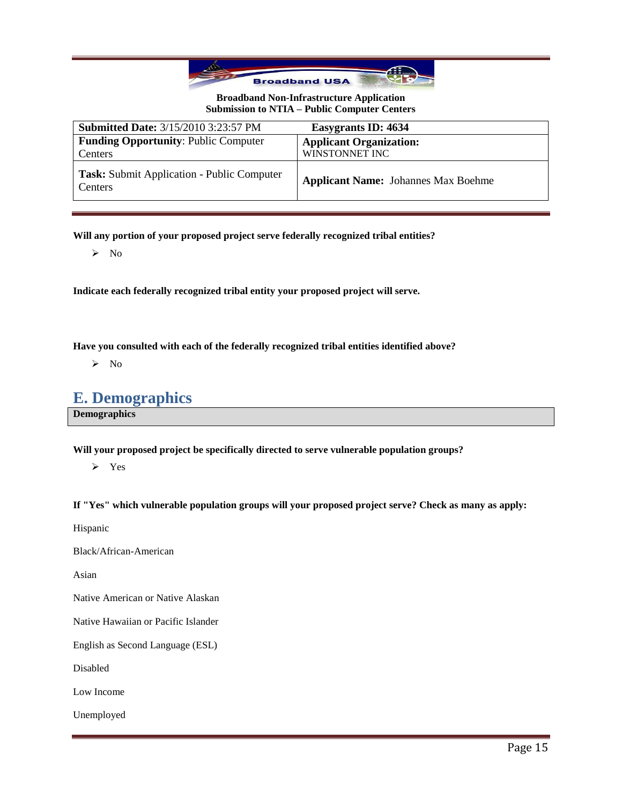

| <b>Submitted Date: 3/15/2010 3:23:57 PM</b>           | Easygrants ID: 4634                        |
|-------------------------------------------------------|--------------------------------------------|
| <b>Funding Opportunity: Public Computer</b>           | <b>Applicant Organization:</b>             |
| Centers                                               | WINSTONNET INC                             |
| Task: Submit Application - Public Computer<br>Centers | <b>Applicant Name:</b> Johannes Max Boehme |

**Will any portion of your proposed project serve federally recognized tribal entities?**

 $\triangleright$  No

**Indicate each federally recognized tribal entity your proposed project will serve.**

**Have you consulted with each of the federally recognized tribal entities identified above?**

 $\triangleright$  No

## **E. Demographics**

**Demographics**

**Will your proposed project be specifically directed to serve vulnerable population groups?**

 $\triangleright$  Yes

**If "Yes" which vulnerable population groups will your proposed project serve? Check as many as apply:**

Hispanic

Black/African-American

Asian

Native American or Native Alaskan

Native Hawaiian or Pacific Islander

English as Second Language (ESL)

Disabled

Low Income

Unemployed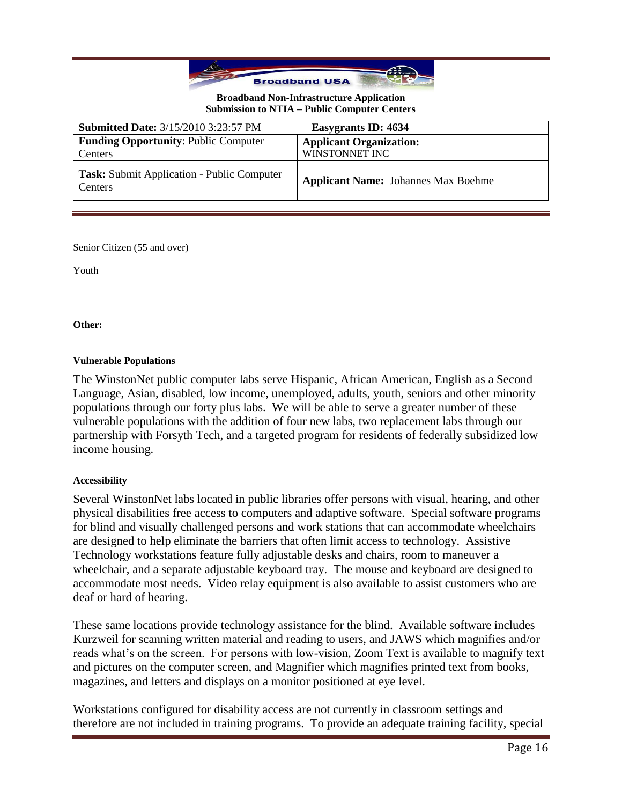

| <b>Submitted Date: 3/15/2010 3:23:57 PM</b>           | Easygrants ID: 4634                        |
|-------------------------------------------------------|--------------------------------------------|
| <b>Funding Opportunity: Public Computer</b>           | <b>Applicant Organization:</b>             |
| Centers                                               | WINSTONNET INC                             |
| Task: Submit Application - Public Computer<br>Centers | <b>Applicant Name:</b> Johannes Max Boehme |

Senior Citizen (55 and over)

Youth

**Other:**

### **Vulnerable Populations**

The WinstonNet public computer labs serve Hispanic, African American, English as a Second Language, Asian, disabled, low income, unemployed, adults, youth, seniors and other minority populations through our forty plus labs. We will be able to serve a greater number of these vulnerable populations with the addition of four new labs, two replacement labs through our partnership with Forsyth Tech, and a targeted program for residents of federally subsidized low income housing.

### **Accessibility**

Several WinstonNet labs located in public libraries offer persons with visual, hearing, and other physical disabilities free access to computers and adaptive software. Special software programs for blind and visually challenged persons and work stations that can accommodate wheelchairs are designed to help eliminate the barriers that often limit access to technology. Assistive Technology workstations feature fully adjustable desks and chairs, room to maneuver a wheelchair, and a separate adjustable keyboard tray. The mouse and keyboard are designed to accommodate most needs. Video relay equipment is also available to assist customers who are deaf or hard of hearing.

These same locations provide technology assistance for the blind. Available software includes Kurzweil for scanning written material and reading to users, and JAWS which magnifies and/or reads what's on the screen. For persons with low-vision, Zoom Text is available to magnify text and pictures on the computer screen, and Magnifier which magnifies printed text from books, magazines, and letters and displays on a monitor positioned at eye level.

Workstations configured for disability access are not currently in classroom settings and therefore are not included in training programs. To provide an adequate training facility, special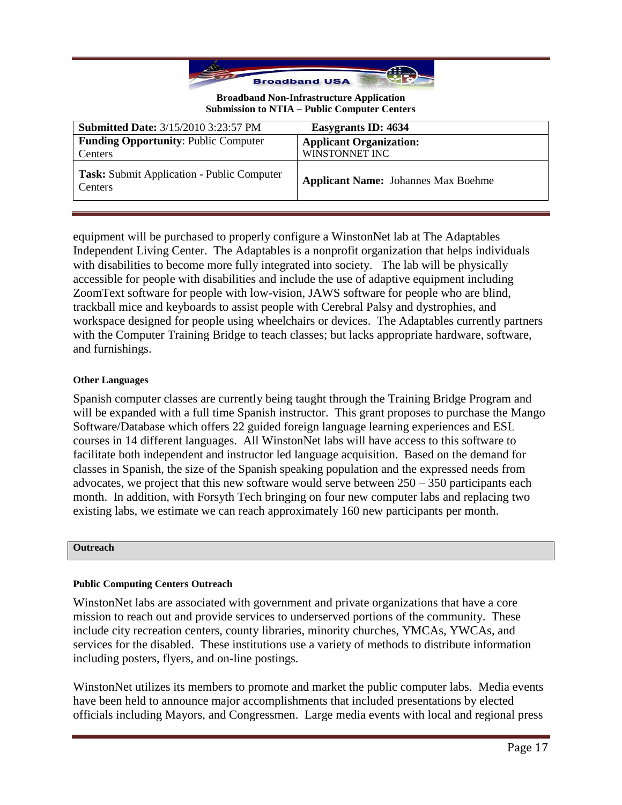

| <b>Submitted Date: 3/15/2010 3:23:57 PM</b>                  | Easygrants ID: 4634                        |
|--------------------------------------------------------------|--------------------------------------------|
| <b>Funding Opportunity: Public Computer</b>                  | <b>Applicant Organization:</b>             |
| Centers                                                      | WINSTONNET INC                             |
| Task: Submit Application - Public Computer<br><b>Centers</b> | <b>Applicant Name:</b> Johannes Max Boehme |

equipment will be purchased to properly configure a WinstonNet lab at The Adaptables Independent Living Center. The Adaptables is a nonprofit organization that helps individuals with disabilities to become more fully integrated into society. The lab will be physically accessible for people with disabilities and include the use of adaptive equipment including ZoomText software for people with low-vision, JAWS software for people who are blind, trackball mice and keyboards to assist people with Cerebral Palsy and dystrophies, and workspace designed for people using wheelchairs or devices. The Adaptables currently partners with the Computer Training Bridge to teach classes; but lacks appropriate hardware, software, and furnishings.

### **Other Languages**

Spanish computer classes are currently being taught through the Training Bridge Program and will be expanded with a full time Spanish instructor. This grant proposes to purchase the Mango Software/Database which offers 22 guided foreign language learning experiences and ESL courses in 14 different languages. All WinstonNet labs will have access to this software to facilitate both independent and instructor led language acquisition. Based on the demand for classes in Spanish, the size of the Spanish speaking population and the expressed needs from advocates, we project that this new software would serve between  $250 - 350$  participants each month. In addition, with Forsyth Tech bringing on four new computer labs and replacing two existing labs, we estimate we can reach approximately 160 new participants per month.

### **Outreach**

## **Public Computing Centers Outreach**

WinstonNet labs are associated with government and private organizations that have a core mission to reach out and provide services to underserved portions of the community. These include city recreation centers, county libraries, minority churches, YMCAs, YWCAs, and services for the disabled. These institutions use a variety of methods to distribute information including posters, flyers, and on-line postings.

WinstonNet utilizes its members to promote and market the public computer labs. Media events have been held to announce major accomplishments that included presentations by elected officials including Mayors, and Congressmen. Large media events with local and regional press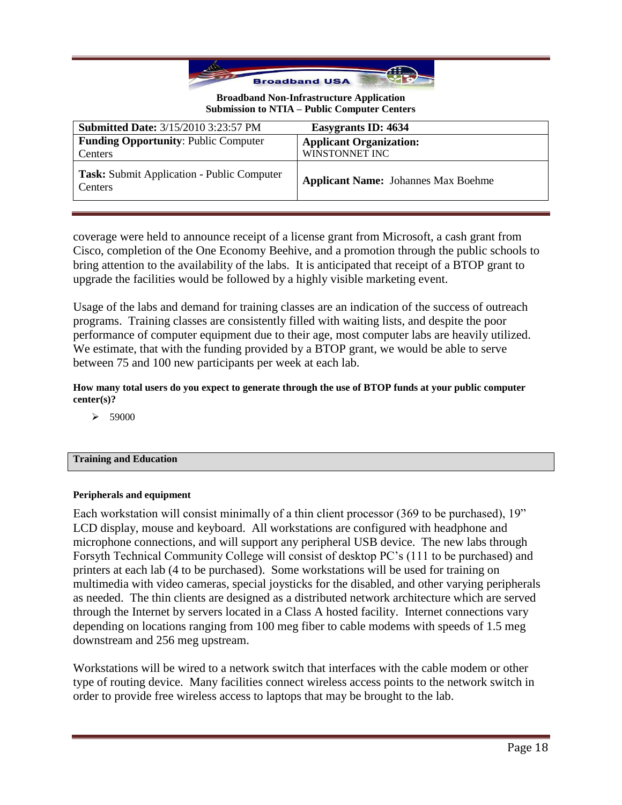

| <b>Submitted Date: 3/15/2010 3:23:57 PM</b>                  | Easygrants ID: 4634                        |
|--------------------------------------------------------------|--------------------------------------------|
| <b>Funding Opportunity: Public Computer</b>                  | <b>Applicant Organization:</b>             |
| Centers                                                      | WINSTONNET INC                             |
| <b>Task:</b> Submit Application - Public Computer<br>Centers | <b>Applicant Name:</b> Johannes Max Boehme |

coverage were held to announce receipt of a license grant from Microsoft, a cash grant from Cisco, completion of the One Economy Beehive, and a promotion through the public schools to bring attention to the availability of the labs. It is anticipated that receipt of a BTOP grant to upgrade the facilities would be followed by a highly visible marketing event.

Usage of the labs and demand for training classes are an indication of the success of outreach programs. Training classes are consistently filled with waiting lists, and despite the poor performance of computer equipment due to their age, most computer labs are heavily utilized. We estimate, that with the funding provided by a BTOP grant, we would be able to serve between 75 and 100 new participants per week at each lab.

**How many total users do you expect to generate through the use of BTOP funds at your public computer center(s)?**

 $\triangleright$  59000

## **Training and Education**

### **Peripherals and equipment**

Each workstation will consist minimally of a thin client processor (369 to be purchased), 19" LCD display, mouse and keyboard. All workstations are configured with headphone and microphone connections, and will support any peripheral USB device. The new labs through Forsyth Technical Community College will consist of desktop PC's (111 to be purchased) and printers at each lab (4 to be purchased). Some workstations will be used for training on multimedia with video cameras, special joysticks for the disabled, and other varying peripherals as needed. The thin clients are designed as a distributed network architecture which are served through the Internet by servers located in a Class A hosted facility. Internet connections vary depending on locations ranging from 100 meg fiber to cable modems with speeds of 1.5 meg downstream and 256 meg upstream.

Workstations will be wired to a network switch that interfaces with the cable modem or other type of routing device. Many facilities connect wireless access points to the network switch in order to provide free wireless access to laptops that may be brought to the lab.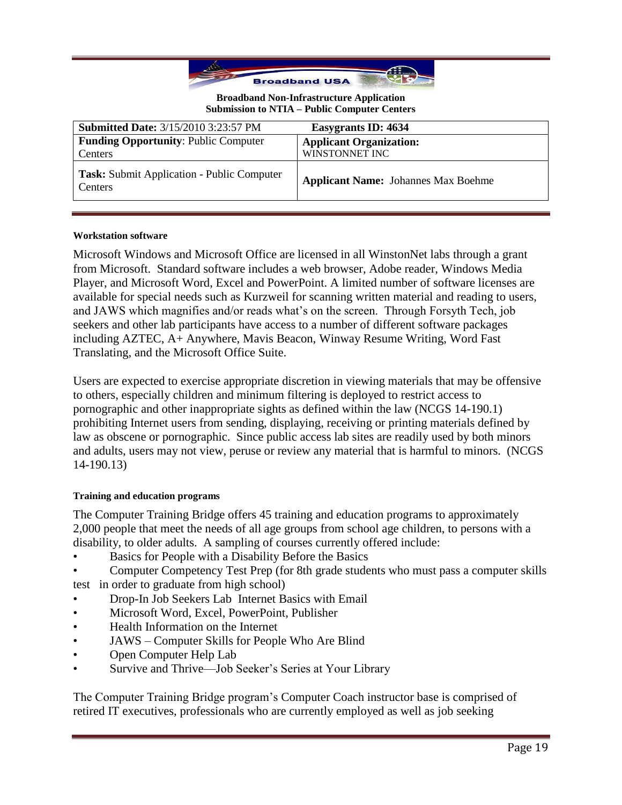

| <b>Submitted Date: 3/15/2010 3:23:57 PM</b>           | Easygrants ID: 4634                        |
|-------------------------------------------------------|--------------------------------------------|
| <b>Funding Opportunity: Public Computer</b>           | <b>Applicant Organization:</b>             |
| Centers                                               | WINSTONNET INC                             |
| Task: Submit Application - Public Computer<br>Centers | <b>Applicant Name:</b> Johannes Max Boehme |

## **Workstation software**

Microsoft Windows and Microsoft Office are licensed in all WinstonNet labs through a grant from Microsoft. Standard software includes a web browser, Adobe reader, Windows Media Player, and Microsoft Word, Excel and PowerPoint. A limited number of software licenses are available for special needs such as Kurzweil for scanning written material and reading to users, and JAWS which magnifies and/or reads what's on the screen. Through Forsyth Tech, job seekers and other lab participants have access to a number of different software packages including AZTEC, A+ Anywhere, Mavis Beacon, Winway Resume Writing, Word Fast Translating, and the Microsoft Office Suite.

Users are expected to exercise appropriate discretion in viewing materials that may be offensive to others, especially children and minimum filtering is deployed to restrict access to pornographic and other inappropriate sights as defined within the law (NCGS 14-190.1) prohibiting Internet users from sending, displaying, receiving or printing materials defined by law as obscene or pornographic. Since public access lab sites are readily used by both minors and adults, users may not view, peruse or review any material that is harmful to minors. (NCGS 14-190.13)

### **Training and education programs**

The Computer Training Bridge offers 45 training and education programs to approximately 2,000 people that meet the needs of all age groups from school age children, to persons with a disability, to older adults. A sampling of courses currently offered include:

- Basics for People with a Disability Before the Basics
- Computer Competency Test Prep (for 8th grade students who must pass a computer skills test in order to graduate from high school)
- Drop-In Job Seekers Lab Internet Basics with Email
- Microsoft Word, Excel, PowerPoint, Publisher
- Health Information on the Internet
- JAWS Computer Skills for People Who Are Blind
- Open Computer Help Lab
- Survive and Thrive—Job Seeker's Series at Your Library

The Computer Training Bridge program's Computer Coach instructor base is comprised of retired IT executives, professionals who are currently employed as well as job seeking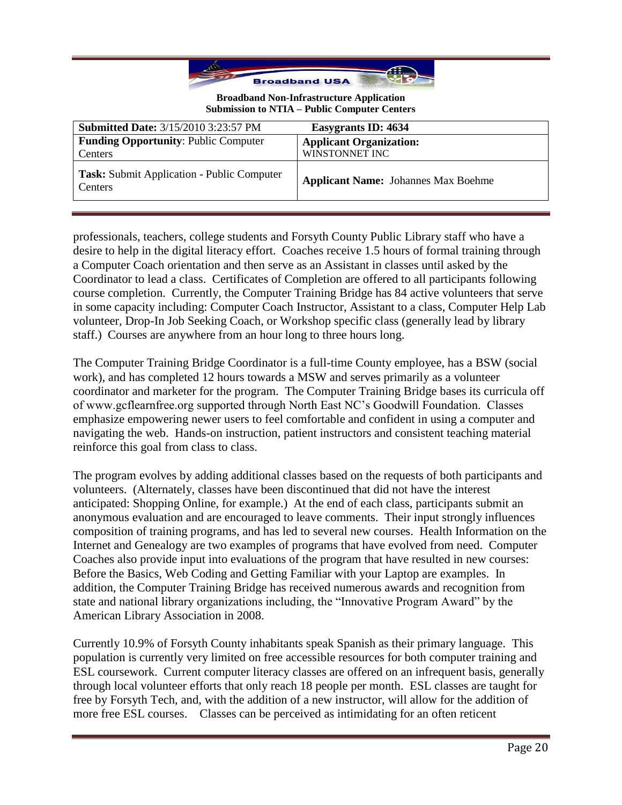

| <b>Submitted Date: 3/15/2010 3:23:57 PM</b>                  | Easygrants ID: 4634                        |
|--------------------------------------------------------------|--------------------------------------------|
| <b>Funding Opportunity: Public Computer</b>                  | <b>Applicant Organization:</b>             |
| Centers                                                      | WINSTONNET INC                             |
| <b>Task:</b> Submit Application - Public Computer<br>Centers | <b>Applicant Name:</b> Johannes Max Boehme |

professionals, teachers, college students and Forsyth County Public Library staff who have a desire to help in the digital literacy effort. Coaches receive 1.5 hours of formal training through a Computer Coach orientation and then serve as an Assistant in classes until asked by the Coordinator to lead a class. Certificates of Completion are offered to all participants following course completion. Currently, the Computer Training Bridge has 84 active volunteers that serve in some capacity including: Computer Coach Instructor, Assistant to a class, Computer Help Lab volunteer, Drop-In Job Seeking Coach, or Workshop specific class (generally lead by library staff.) Courses are anywhere from an hour long to three hours long.

The Computer Training Bridge Coordinator is a full-time County employee, has a BSW (social work), and has completed 12 hours towards a MSW and serves primarily as a volunteer coordinator and marketer for the program. The Computer Training Bridge bases its curricula off of www.gcflearnfree.org supported through North East NC's Goodwill Foundation. Classes emphasize empowering newer users to feel comfortable and confident in using a computer and navigating the web. Hands-on instruction, patient instructors and consistent teaching material reinforce this goal from class to class.

The program evolves by adding additional classes based on the requests of both participants and volunteers. (Alternately, classes have been discontinued that did not have the interest anticipated: Shopping Online, for example.) At the end of each class, participants submit an anonymous evaluation and are encouraged to leave comments. Their input strongly influences composition of training programs, and has led to several new courses. Health Information on the Internet and Genealogy are two examples of programs that have evolved from need. Computer Coaches also provide input into evaluations of the program that have resulted in new courses: Before the Basics, Web Coding and Getting Familiar with your Laptop are examples. In addition, the Computer Training Bridge has received numerous awards and recognition from state and national library organizations including, the "Innovative Program Award" by the American Library Association in 2008.

Currently 10.9% of Forsyth County inhabitants speak Spanish as their primary language. This population is currently very limited on free accessible resources for both computer training and ESL coursework. Current computer literacy classes are offered on an infrequent basis, generally through local volunteer efforts that only reach 18 people per month. ESL classes are taught for free by Forsyth Tech, and, with the addition of a new instructor, will allow for the addition of more free ESL courses. Classes can be perceived as intimidating for an often reticent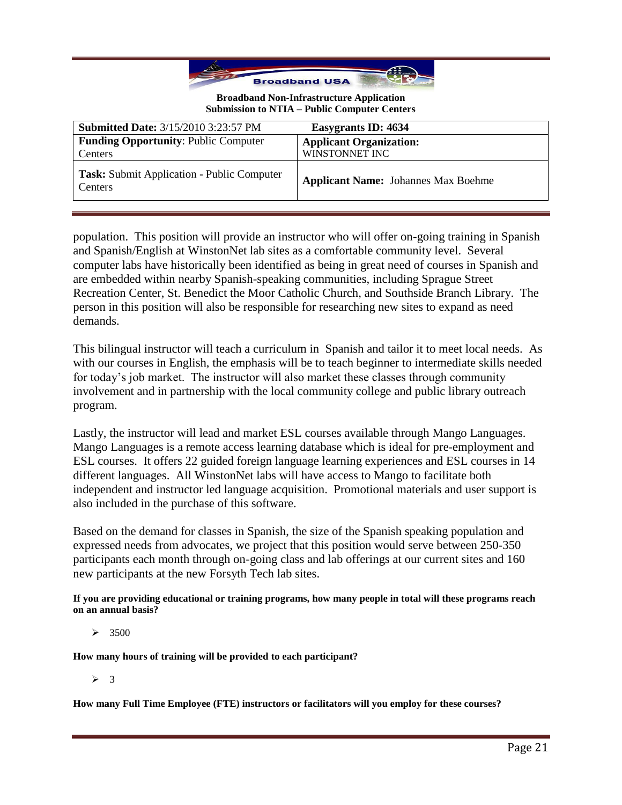

| <b>Submitted Date: 3/15/2010 3:23:57 PM</b>           | Easygrants ID: 4634                        |
|-------------------------------------------------------|--------------------------------------------|
| <b>Funding Opportunity: Public Computer</b>           | <b>Applicant Organization:</b>             |
| Centers                                               | WINSTONNET INC                             |
| Task: Submit Application - Public Computer<br>Centers | <b>Applicant Name:</b> Johannes Max Boehme |

population. This position will provide an instructor who will offer on-going training in Spanish and Spanish/English at WinstonNet lab sites as a comfortable community level. Several computer labs have historically been identified as being in great need of courses in Spanish and are embedded within nearby Spanish-speaking communities, including Sprague Street Recreation Center, St. Benedict the Moor Catholic Church, and Southside Branch Library. The person in this position will also be responsible for researching new sites to expand as need demands.

This bilingual instructor will teach a curriculum in Spanish and tailor it to meet local needs. As with our courses in English, the emphasis will be to teach beginner to intermediate skills needed for today's job market. The instructor will also market these classes through community involvement and in partnership with the local community college and public library outreach program.

Lastly, the instructor will lead and market ESL courses available through Mango Languages. Mango Languages is a remote access learning database which is ideal for pre-employment and ESL courses. It offers 22 guided foreign language learning experiences and ESL courses in 14 different languages. All WinstonNet labs will have access to Mango to facilitate both independent and instructor led language acquisition. Promotional materials and user support is also included in the purchase of this software.

Based on the demand for classes in Spanish, the size of the Spanish speaking population and expressed needs from advocates, we project that this position would serve between 250-350 participants each month through on-going class and lab offerings at our current sites and 160 new participants at the new Forsyth Tech lab sites.

**If you are providing educational or training programs, how many people in total will these programs reach on an annual basis?**

 $\geq 3500$ 

**How many hours of training will be provided to each participant?**

 $\geqslant$  3

**How many Full Time Employee (FTE) instructors or facilitators will you employ for these courses?**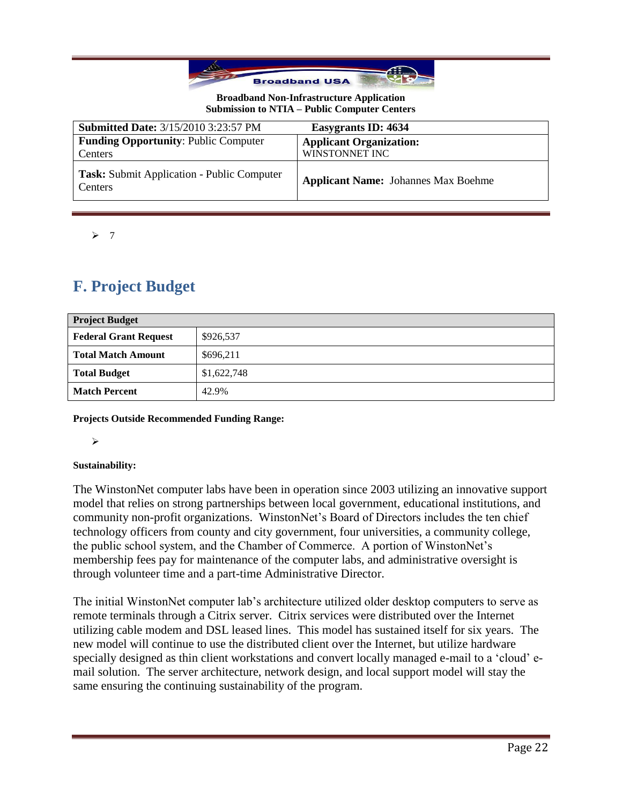

| <b>Submitted Date: 3/15/2010 3:23:57 PM</b>                  | Easygrants ID: 4634                        |
|--------------------------------------------------------------|--------------------------------------------|
| <b>Funding Opportunity: Public Computer</b>                  | <b>Applicant Organization:</b>             |
| Centers                                                      | WINSTONNET INC                             |
| Task: Submit Application - Public Computer<br><b>Centers</b> | <b>Applicant Name:</b> Johannes Max Boehme |

 $\geq 7$ 

# **F. Project Budget**

| <b>Project Budget</b>        |             |
|------------------------------|-------------|
| <b>Federal Grant Request</b> | \$926,537   |
| <b>Total Match Amount</b>    | \$696,211   |
| <b>Total Budget</b>          | \$1,622,748 |
| <b>Match Percent</b>         | 42.9%       |

**Projects Outside Recommended Funding Range:**

 $\blacktriangleright$ 

### **Sustainability:**

The WinstonNet computer labs have been in operation since 2003 utilizing an innovative support model that relies on strong partnerships between local government, educational institutions, and community non-profit organizations. WinstonNet's Board of Directors includes the ten chief technology officers from county and city government, four universities, a community college, the public school system, and the Chamber of Commerce. A portion of WinstonNet's membership fees pay for maintenance of the computer labs, and administrative oversight is through volunteer time and a part-time Administrative Director.

The initial WinstonNet computer lab's architecture utilized older desktop computers to serve as remote terminals through a Citrix server. Citrix services were distributed over the Internet utilizing cable modem and DSL leased lines. This model has sustained itself for six years. The new model will continue to use the distributed client over the Internet, but utilize hardware specially designed as thin client workstations and convert locally managed e-mail to a 'cloud' email solution. The server architecture, network design, and local support model will stay the same ensuring the continuing sustainability of the program.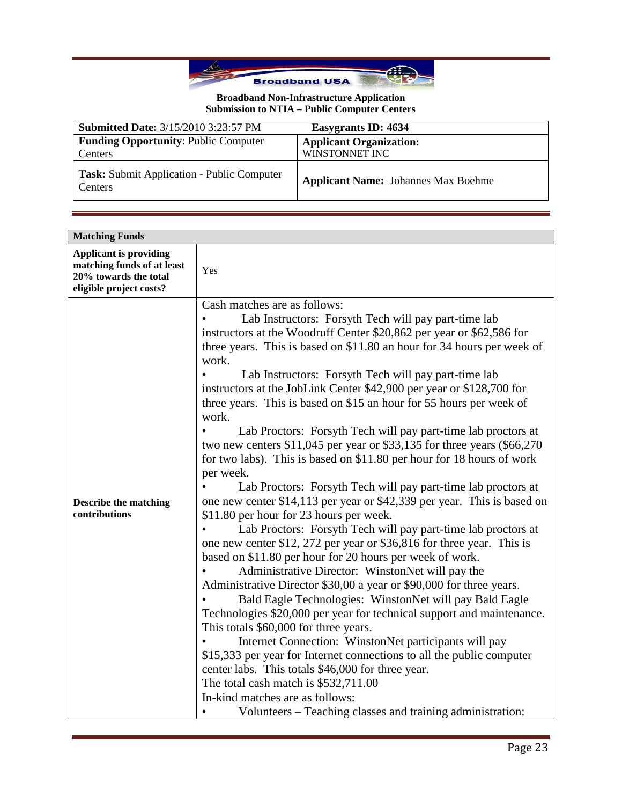

| <b>Submitted Date: 3/15/2010 3:23:57 PM</b>            | Easygrants ID: 4634                              |
|--------------------------------------------------------|--------------------------------------------------|
| <b>Funding Opportunity: Public Computer</b><br>Centers | <b>Applicant Organization:</b><br>WINSTONNET INC |
| Task: Submit Application - Public Computer<br>Centers  | <b>Applicant Name:</b> Johannes Max Boehme       |

| <b>Matching Funds</b>                                                                                           |                                                                                                                                                                                                                                                                                                                                                                                                                                                                                                                                                                                                                                                                                                                                                                                                                                                                                                                                                                                                                                                                                                                                                                                                                                                                                                                                                                                                                                                                                                                                                                                                                                                                                                                                           |
|-----------------------------------------------------------------------------------------------------------------|-------------------------------------------------------------------------------------------------------------------------------------------------------------------------------------------------------------------------------------------------------------------------------------------------------------------------------------------------------------------------------------------------------------------------------------------------------------------------------------------------------------------------------------------------------------------------------------------------------------------------------------------------------------------------------------------------------------------------------------------------------------------------------------------------------------------------------------------------------------------------------------------------------------------------------------------------------------------------------------------------------------------------------------------------------------------------------------------------------------------------------------------------------------------------------------------------------------------------------------------------------------------------------------------------------------------------------------------------------------------------------------------------------------------------------------------------------------------------------------------------------------------------------------------------------------------------------------------------------------------------------------------------------------------------------------------------------------------------------------------|
| <b>Applicant is providing</b><br>matching funds of at least<br>20% towards the total<br>eligible project costs? | Yes                                                                                                                                                                                                                                                                                                                                                                                                                                                                                                                                                                                                                                                                                                                                                                                                                                                                                                                                                                                                                                                                                                                                                                                                                                                                                                                                                                                                                                                                                                                                                                                                                                                                                                                                       |
| <b>Describe the matching</b><br>contributions                                                                   | Cash matches are as follows:<br>Lab Instructors: Forsyth Tech will pay part-time lab<br>instructors at the Woodruff Center \$20,862 per year or \$62,586 for<br>three years. This is based on \$11.80 an hour for 34 hours per week of<br>work.<br>Lab Instructors: Forsyth Tech will pay part-time lab<br>instructors at the JobLink Center \$42,900 per year or \$128,700 for<br>three years. This is based on \$15 an hour for 55 hours per week of<br>work.<br>Lab Proctors: Forsyth Tech will pay part-time lab proctors at<br>two new centers $$11,045$ per year or $$33,135$ for three years (\$66,270)<br>for two labs). This is based on \$11.80 per hour for 18 hours of work<br>per week.<br>Lab Proctors: Forsyth Tech will pay part-time lab proctors at<br>one new center \$14,113 per year or \$42,339 per year. This is based on<br>\$11.80 per hour for 23 hours per week.<br>Lab Proctors: Forsyth Tech will pay part-time lab proctors at<br>one new center \$12, 272 per year or \$36,816 for three year. This is<br>based on \$11.80 per hour for 20 hours per week of work.<br>Administrative Director: WinstonNet will pay the<br>Administrative Director \$30,00 a year or \$90,000 for three years.<br>Bald Eagle Technologies: WinstonNet will pay Bald Eagle<br>Technologies \$20,000 per year for technical support and maintenance.<br>This totals \$60,000 for three years.<br>Internet Connection: WinstonNet participants will pay<br>\$15,333 per year for Internet connections to all the public computer<br>center labs. This totals \$46,000 for three year.<br>The total cash match is \$532,711.00<br>In-kind matches are as follows:<br>Volunteers – Teaching classes and training administration: |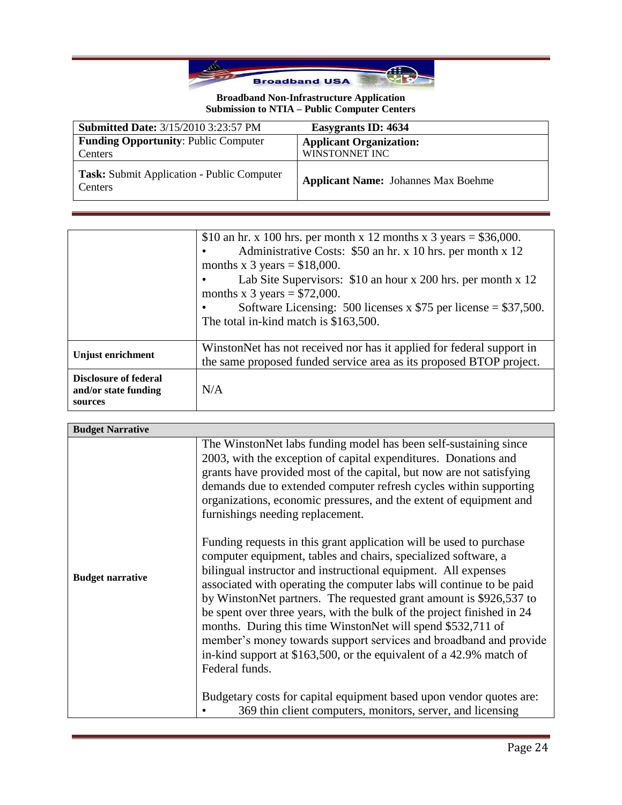

| <b>Submitted Date: 3/15/2010 3:23:57 PM</b>           | Easygrants ID: 4634                        |
|-------------------------------------------------------|--------------------------------------------|
| <b>Funding Opportunity: Public Computer</b>           | <b>Applicant Organization:</b>             |
| Centers                                               | WINSTONNET INC                             |
| Task: Submit Application - Public Computer<br>Centers | <b>Applicant Name:</b> Johannes Max Boehme |

|                                                                 | \$10 an hr. x 100 hrs. per month x 12 months x 3 years = \$36,000.<br>Administrative Costs: \$50 an hr. x 10 hrs. per month x 12<br>months x 3 years = $$18,000$ .<br>Lab Site Supervisors: \$10 an hour x 200 hrs. per month x 12<br>months x 3 years = $$72,000$ .<br>Software Licensing: 500 licenses x $$75$ per license = \$37,500.<br>The total in-kind match is \$163,500. |
|-----------------------------------------------------------------|-----------------------------------------------------------------------------------------------------------------------------------------------------------------------------------------------------------------------------------------------------------------------------------------------------------------------------------------------------------------------------------|
| Unjust enrichment                                               | WinstonNet has not received nor has it applied for federal support in<br>the same proposed funded service area as its proposed BTOP project.                                                                                                                                                                                                                                      |
| <b>Disclosure of federal</b><br>and/or state funding<br>sources | N/A                                                                                                                                                                                                                                                                                                                                                                               |

| <b>Budget Narrative</b> |                                                                                                                                                                                                                                                                                                                                                                                                                                                                                                                                                                                                                                                                                                                                                                                                                                                                                                                                                                                                                                                            |
|-------------------------|------------------------------------------------------------------------------------------------------------------------------------------------------------------------------------------------------------------------------------------------------------------------------------------------------------------------------------------------------------------------------------------------------------------------------------------------------------------------------------------------------------------------------------------------------------------------------------------------------------------------------------------------------------------------------------------------------------------------------------------------------------------------------------------------------------------------------------------------------------------------------------------------------------------------------------------------------------------------------------------------------------------------------------------------------------|
| <b>Budget narrative</b> | The WinstonNet labs funding model has been self-sustaining since<br>2003, with the exception of capital expenditures. Donations and<br>grants have provided most of the capital, but now are not satisfying<br>demands due to extended computer refresh cycles within supporting<br>organizations, economic pressures, and the extent of equipment and<br>furnishings needing replacement.<br>Funding requests in this grant application will be used to purchase<br>computer equipment, tables and chairs, specialized software, a<br>bilingual instructor and instructional equipment. All expenses<br>associated with operating the computer labs will continue to be paid<br>by WinstonNet partners. The requested grant amount is \$926,537 to<br>be spent over three years, with the bulk of the project finished in 24<br>months. During this time WinstonNet will spend \$532,711 of<br>member's money towards support services and broadband and provide<br>in-kind support at \$163,500, or the equivalent of a 42.9% match of<br>Federal funds. |
|                         | Budgetary costs for capital equipment based upon vendor quotes are:                                                                                                                                                                                                                                                                                                                                                                                                                                                                                                                                                                                                                                                                                                                                                                                                                                                                                                                                                                                        |
|                         | 369 thin client computers, monitors, server, and licensing                                                                                                                                                                                                                                                                                                                                                                                                                                                                                                                                                                                                                                                                                                                                                                                                                                                                                                                                                                                                 |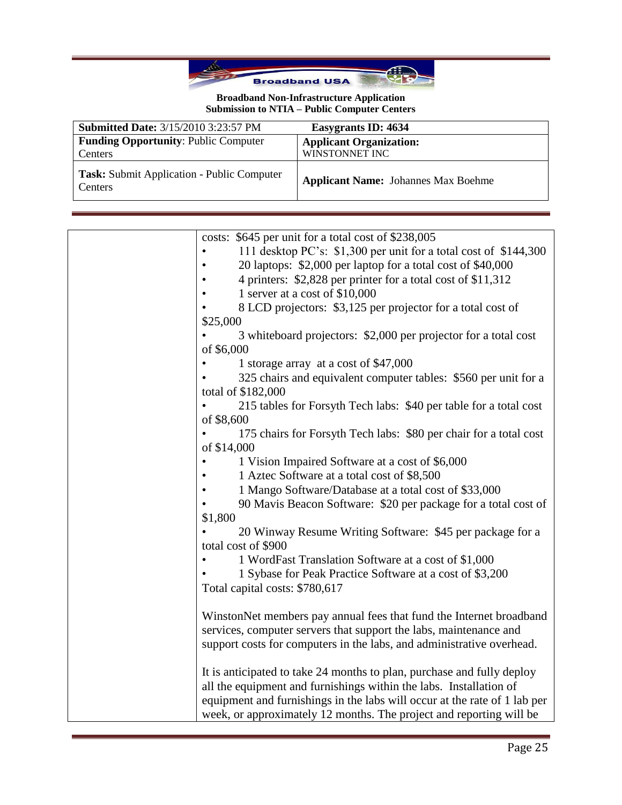

| <b>Submitted Date: 3/15/2010 3:23:57 PM</b>                  | Easygrants ID: 4634                              |
|--------------------------------------------------------------|--------------------------------------------------|
| <b>Funding Opportunity: Public Computer</b><br>Centers       | <b>Applicant Organization:</b><br>WINSTONNET INC |
| <b>Task:</b> Submit Application - Public Computer<br>Centers | <b>Applicant Name:</b> Johannes Max Boehme       |

| costs: \$645 per unit for a total cost of \$238,005                       |
|---------------------------------------------------------------------------|
| 111 desktop PC's: \$1,300 per unit for a total cost of \$144,300          |
| 20 laptops: \$2,000 per laptop for a total cost of \$40,000               |
| 4 printers: \$2,828 per printer for a total cost of \$11,312              |
| 1 server at a cost of \$10,000                                            |
| 8 LCD projectors: \$3,125 per projector for a total cost of               |
| \$25,000                                                                  |
| 3 whiteboard projectors: \$2,000 per projector for a total cost           |
| of \$6,000                                                                |
| 1 storage array at a cost of \$47,000                                     |
| 325 chairs and equivalent computer tables: \$560 per unit for a           |
| total of \$182,000                                                        |
| 215 tables for Forsyth Tech labs: \$40 per table for a total cost         |
| of \$8,600                                                                |
| 175 chairs for Forsyth Tech labs: \$80 per chair for a total cost         |
| of \$14,000                                                               |
| 1 Vision Impaired Software at a cost of \$6,000                           |
| 1 Aztec Software at a total cost of \$8,500                               |
| 1 Mango Software/Database at a total cost of \$33,000                     |
| 90 Mavis Beacon Software: \$20 per package for a total cost of            |
| \$1,800                                                                   |
| 20 Winway Resume Writing Software: \$45 per package for a                 |
| total cost of \$900                                                       |
| 1 WordFast Translation Software at a cost of \$1,000                      |
| 1 Sybase for Peak Practice Software at a cost of \$3,200                  |
| Total capital costs: \$780,617                                            |
|                                                                           |
| WinstonNet members pay annual fees that fund the Internet broadband       |
| services, computer servers that support the labs, maintenance and         |
| support costs for computers in the labs, and administrative overhead.     |
|                                                                           |
| It is anticipated to take 24 months to plan, purchase and fully deploy    |
| all the equipment and furnishings within the labs. Installation of        |
| equipment and furnishings in the labs will occur at the rate of 1 lab per |
| week, or approximately 12 months. The project and reporting will be       |
|                                                                           |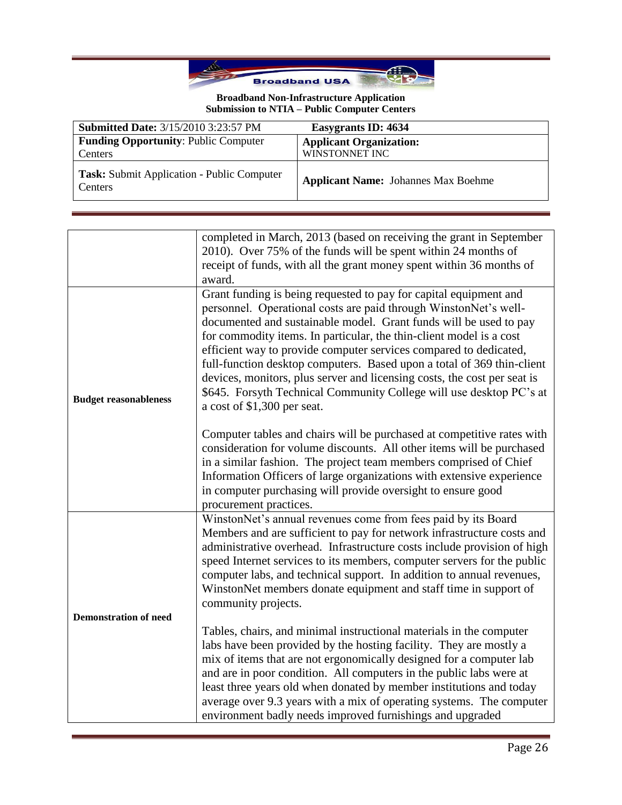

| <b>Submitted Date: 3/15/2010 3:23:57 PM</b>                         | Easygrants ID: 4634                        |
|---------------------------------------------------------------------|--------------------------------------------|
| <b>Funding Opportunity: Public Computer</b>                         | <b>Applicant Organization:</b>             |
| Centers                                                             | WINSTONNET INC                             |
| <b>Task:</b> Submit Application - Public Computer<br><b>Centers</b> | <b>Applicant Name:</b> Johannes Max Boehme |

|                              | completed in March, 2013 (based on receiving the grant in September<br>2010). Over 75% of the funds will be spent within 24 months of<br>receipt of funds, with all the grant money spent within 36 months of<br>award.                                                                                                                                                                                                                                                                                                                                                                                            |
|------------------------------|--------------------------------------------------------------------------------------------------------------------------------------------------------------------------------------------------------------------------------------------------------------------------------------------------------------------------------------------------------------------------------------------------------------------------------------------------------------------------------------------------------------------------------------------------------------------------------------------------------------------|
| <b>Budget reasonableness</b> | Grant funding is being requested to pay for capital equipment and<br>personnel. Operational costs are paid through WinstonNet's well-<br>documented and sustainable model. Grant funds will be used to pay<br>for commodity items. In particular, the thin-client model is a cost<br>efficient way to provide computer services compared to dedicated,<br>full-function desktop computers. Based upon a total of 369 thin-client<br>devices, monitors, plus server and licensing costs, the cost per seat is<br>\$645. Forsyth Technical Community College will use desktop PC's at<br>a cost of \$1,300 per seat. |
|                              | Computer tables and chairs will be purchased at competitive rates with<br>consideration for volume discounts. All other items will be purchased<br>in a similar fashion. The project team members comprised of Chief<br>Information Officers of large organizations with extensive experience<br>in computer purchasing will provide oversight to ensure good<br>procurement practices.                                                                                                                                                                                                                            |
| <b>Demonstration of need</b> | WinstonNet's annual revenues come from fees paid by its Board<br>Members and are sufficient to pay for network infrastructure costs and<br>administrative overhead. Infrastructure costs include provision of high<br>speed Internet services to its members, computer servers for the public<br>computer labs, and technical support. In addition to annual revenues,<br>WinstonNet members donate equipment and staff time in support of<br>community projects.                                                                                                                                                  |
|                              | Tables, chairs, and minimal instructional materials in the computer<br>labs have been provided by the hosting facility. They are mostly a<br>mix of items that are not ergonomically designed for a computer lab<br>and are in poor condition. All computers in the public labs were at<br>least three years old when donated by member institutions and today<br>average over 9.3 years with a mix of operating systems. The computer<br>environment badly needs improved furnishings and upgraded                                                                                                                |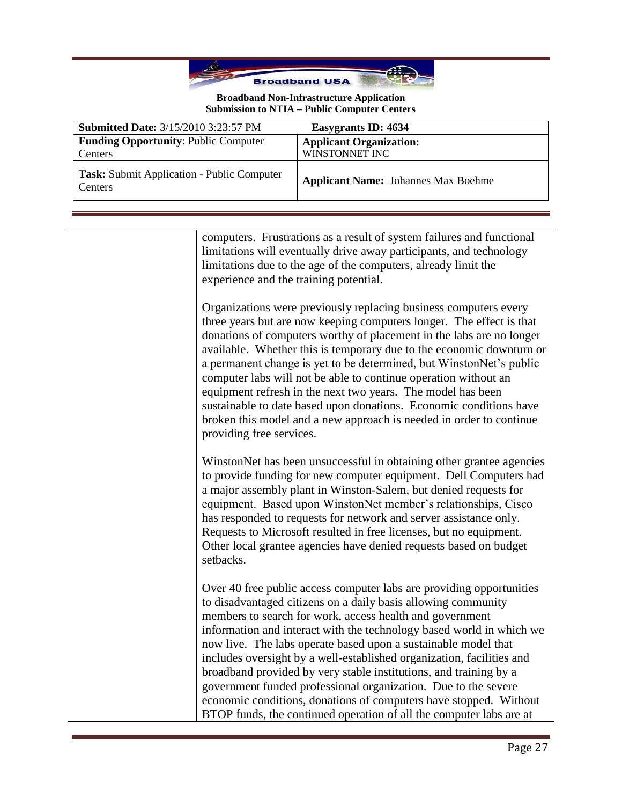

| <b>Submitted Date: 3/15/2010 3:23:57 PM</b>            | Easygrants ID: 4634                              |
|--------------------------------------------------------|--------------------------------------------------|
| <b>Funding Opportunity: Public Computer</b><br>Centers | <b>Applicant Organization:</b><br>WINSTONNET INC |
| Task: Submit Application - Public Computer<br>Centers  | <b>Applicant Name:</b> Johannes Max Boehme       |

computers. Frustrations as a result of system failures and functional limitations will eventually drive away participants, and technology limitations due to the age of the computers, already limit the experience and the training potential.

Organizations were previously replacing business computers every three years but are now keeping computers longer. The effect is that donations of computers worthy of placement in the labs are no longer available. Whether this is temporary due to the economic downturn or a permanent change is yet to be determined, but WinstonNet's public computer labs will not be able to continue operation without an equipment refresh in the next two years. The model has been sustainable to date based upon donations. Economic conditions have broken this model and a new approach is needed in order to continue providing free services.

WinstonNet has been unsuccessful in obtaining other grantee agencies to provide funding for new computer equipment. Dell Computers had a major assembly plant in Winston-Salem, but denied requests for equipment. Based upon WinstonNet member's relationships, Cisco has responded to requests for network and server assistance only. Requests to Microsoft resulted in free licenses, but no equipment. Other local grantee agencies have denied requests based on budget setbacks.

Over 40 free public access computer labs are providing opportunities to disadvantaged citizens on a daily basis allowing community members to search for work, access health and government information and interact with the technology based world in which we now live. The labs operate based upon a sustainable model that includes oversight by a well-established organization, facilities and broadband provided by very stable institutions, and training by a government funded professional organization. Due to the severe economic conditions, donations of computers have stopped. Without BTOP funds, the continued operation of all the computer labs are at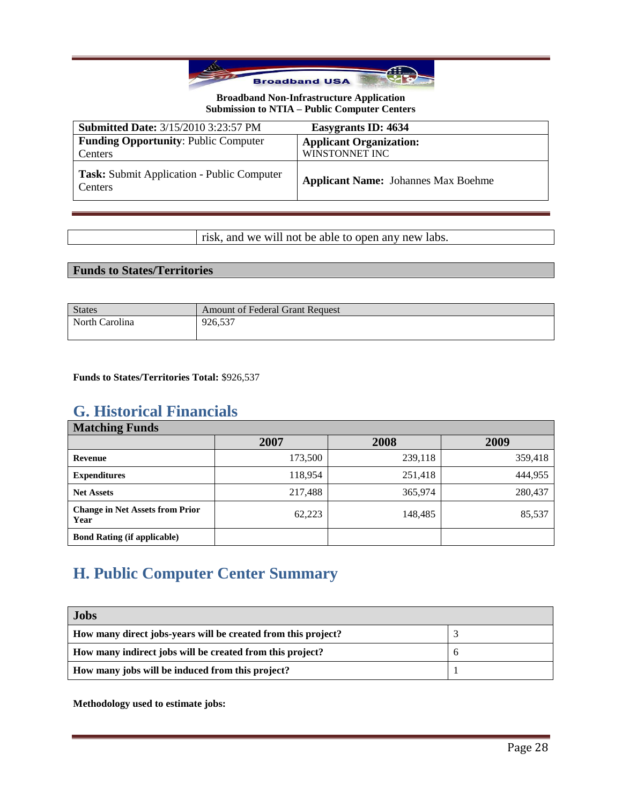

| <b>Submitted Date: 3/15/2010 3:23:57 PM</b>                  | Easygrants ID: 4634                              |
|--------------------------------------------------------------|--------------------------------------------------|
| <b>Funding Opportunity: Public Computer</b><br>Centers       | <b>Applicant Organization:</b><br>WINSTONNET INC |
| <b>Task:</b> Submit Application - Public Computer<br>Centers | <b>Applicant Name:</b> Johannes Max Boehme       |

risk, and we will not be able to open any new labs.

## **Funds to States/Territories**

| <b>States</b>  | <b>Amount of Federal Grant Request</b> |
|----------------|----------------------------------------|
| North Carolina | 926.537                                |

**Funds to States/Territories Total:** \$926,537

## **G. Historical Financials**

| <b>Matching Funds</b>                          |         |         |         |
|------------------------------------------------|---------|---------|---------|
|                                                | 2007    | 2008    | 2009    |
| Revenue                                        | 173,500 | 239,118 | 359,418 |
| <b>Expenditures</b>                            | 118,954 | 251,418 | 444,955 |
| <b>Net Assets</b>                              | 217,488 | 365,974 | 280,437 |
| <b>Change in Net Assets from Prior</b><br>Year | 62,223  | 148,485 | 85,537  |
| <b>Bond Rating (if applicable)</b>             |         |         |         |

# **H. Public Computer Center Summary**

| <b>Jobs</b>                                                   |  |
|---------------------------------------------------------------|--|
| How many direct jobs-years will be created from this project? |  |
| How many indirect jobs will be created from this project?     |  |
| How many jobs will be induced from this project?              |  |

**Methodology used to estimate jobs:**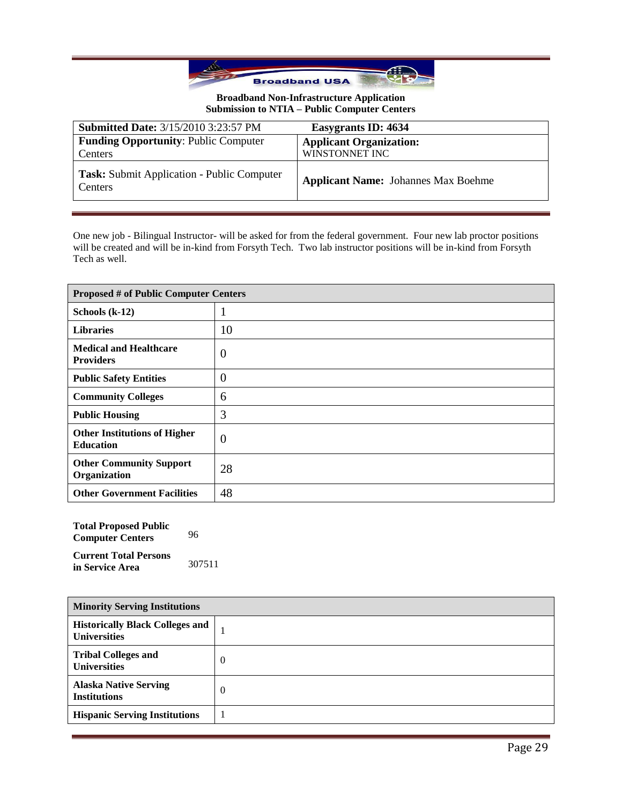

| <b>Submitted Date: 3/15/2010 3:23:57 PM</b>                  | Easygrants ID: 4634                        |
|--------------------------------------------------------------|--------------------------------------------|
| <b>Funding Opportunity: Public Computer</b>                  | <b>Applicant Organization:</b>             |
| Centers                                                      | WINSTONNET INC                             |
| <b>Task:</b> Submit Application - Public Computer<br>Centers | <b>Applicant Name:</b> Johannes Max Boehme |

One new job - Bilingual Instructor- will be asked for from the federal government. Four new lab proctor positions will be created and will be in-kind from Forsyth Tech. Two lab instructor positions will be in-kind from Forsyth Tech as well.

| <b>Proposed # of Public Computer Centers</b>            |                  |
|---------------------------------------------------------|------------------|
| Schools $(k-12)$                                        |                  |
| <b>Libraries</b>                                        | 10               |
| <b>Medical and Healthcare</b><br><b>Providers</b>       | $\boldsymbol{0}$ |
| <b>Public Safety Entities</b>                           | $\theta$         |
| <b>Community Colleges</b>                               | 6                |
| <b>Public Housing</b>                                   | 3                |
| <b>Other Institutions of Higher</b><br><b>Education</b> | $\theta$         |
| <b>Other Community Support</b><br>Organization          | 28               |
| <b>Other Government Facilities</b>                      | 48               |

| <b>Total Proposed Public</b><br><b>Computer Centers</b> | 96     |
|---------------------------------------------------------|--------|
| <b>Current Total Persons</b><br>in Service Area         | 307511 |

| <b>Minority Serving Institutions</b>                          |          |
|---------------------------------------------------------------|----------|
| <b>Historically Black Colleges and</b><br><b>Universities</b> |          |
| <b>Tribal Colleges and</b><br><b>Universities</b>             | $\theta$ |
| <b>Alaska Native Serving</b><br><b>Institutions</b>           | $\theta$ |
| <b>Hispanic Serving Institutions</b>                          |          |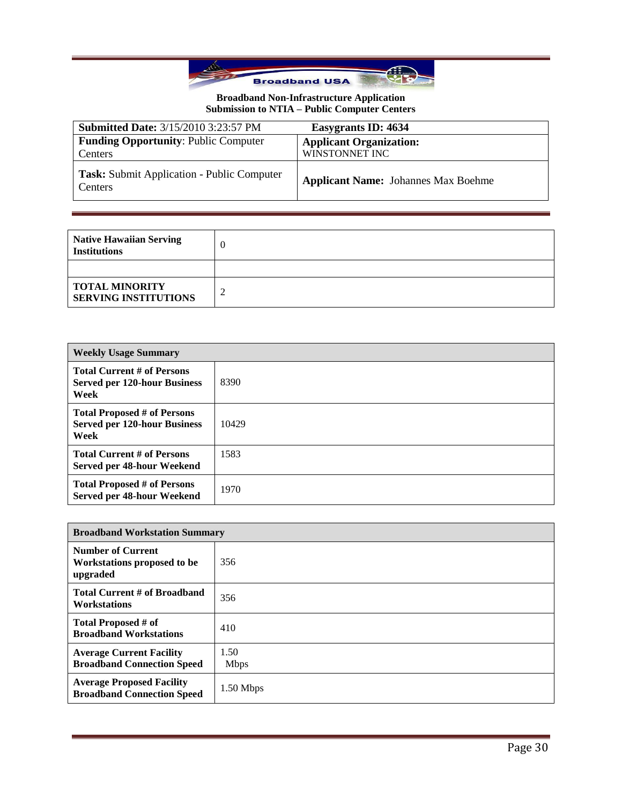

| <b>Submitted Date: 3/15/2010 3:23:57 PM</b>                  | Easygrants ID: 4634                              |
|--------------------------------------------------------------|--------------------------------------------------|
| <b>Funding Opportunity: Public Computer</b><br>Centers       | <b>Applicant Organization:</b><br>WINSTONNET INC |
| Task: Submit Application - Public Computer<br><b>Centers</b> | <b>Applicant Name:</b> Johannes Max Boehme       |

| <b>Native Hawaiian Serving</b><br><b>Institutions</b> |  |
|-------------------------------------------------------|--|
|                                                       |  |
| <b>TOTAL MINORITY</b><br><b>SERVING INSTITUTIONS</b>  |  |

| <b>Weekly Usage Summary</b>                                                       |       |  |
|-----------------------------------------------------------------------------------|-------|--|
| <b>Total Current # of Persons</b><br><b>Served per 120-hour Business</b><br>Week  | 8390  |  |
| <b>Total Proposed # of Persons</b><br><b>Served per 120-hour Business</b><br>Week | 10429 |  |
| <b>Total Current # of Persons</b><br>Served per 48-hour Weekend                   | 1583  |  |
| <b>Total Proposed # of Persons</b><br>Served per 48-hour Weekend                  | 1970  |  |

| <b>Broadband Workstation Summary</b>                                  |                     |
|-----------------------------------------------------------------------|---------------------|
| <b>Number of Current</b><br>Workstations proposed to be<br>upgraded   | 356                 |
| Total Current # of Broadband<br><b>Workstations</b>                   | 356                 |
| Total Proposed # of<br><b>Broadband Workstations</b>                  | 410                 |
| <b>Average Current Facility</b><br><b>Broadband Connection Speed</b>  | 1.50<br><b>Mbps</b> |
| <b>Average Proposed Facility</b><br><b>Broadband Connection Speed</b> | $1.50$ Mbps         |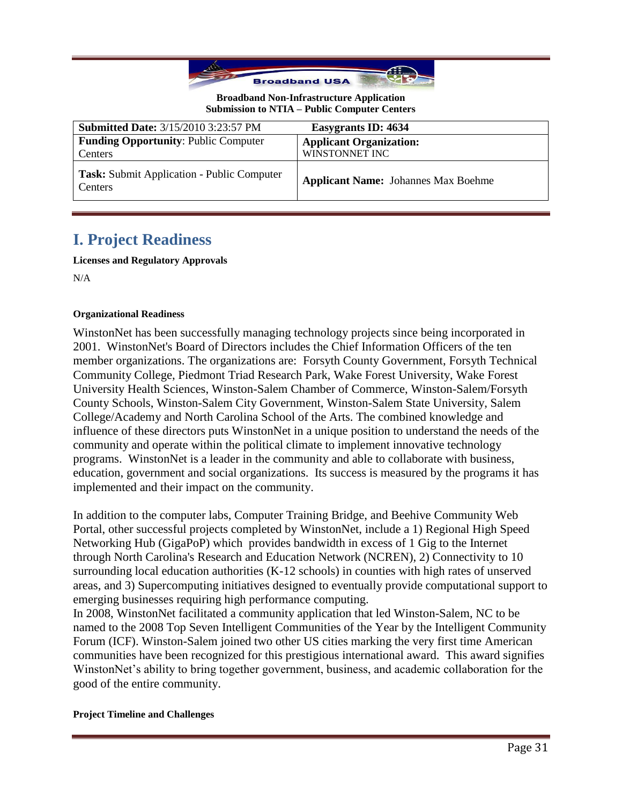

| <b>Submitted Date: 3/15/2010 3:23:57 PM</b>           | Easygrants ID: 4634                        |
|-------------------------------------------------------|--------------------------------------------|
| <b>Funding Opportunity: Public Computer</b>           | <b>Applicant Organization:</b>             |
| Centers                                               | WINSTONNET INC                             |
| Task: Submit Application - Public Computer<br>Centers | <b>Applicant Name:</b> Johannes Max Boehme |

## **I. Project Readiness**

**Licenses and Regulatory Approvals**

N/A

## **Organizational Readiness**

WinstonNet has been successfully managing technology projects since being incorporated in 2001. WinstonNet's Board of Directors includes the Chief Information Officers of the ten member organizations. The organizations are: Forsyth County Government, Forsyth Technical Community College, Piedmont Triad Research Park, Wake Forest University, Wake Forest University Health Sciences, Winston-Salem Chamber of Commerce, Winston-Salem/Forsyth County Schools, Winston-Salem City Government, Winston-Salem State University, Salem College/Academy and North Carolina School of the Arts. The combined knowledge and influence of these directors puts WinstonNet in a unique position to understand the needs of the community and operate within the political climate to implement innovative technology programs. WinstonNet is a leader in the community and able to collaborate with business, education, government and social organizations. Its success is measured by the programs it has implemented and their impact on the community.

In addition to the computer labs, Computer Training Bridge, and Beehive Community Web Portal, other successful projects completed by WinstonNet, include a 1) Regional High Speed Networking Hub (GigaPoP) which provides bandwidth in excess of 1 Gig to the Internet through North Carolina's Research and Education Network (NCREN), 2) Connectivity to 10 surrounding local education authorities (K-12 schools) in counties with high rates of unserved areas, and 3) Supercomputing initiatives designed to eventually provide computational support to emerging businesses requiring high performance computing.

In 2008, WinstonNet facilitated a community application that led Winston-Salem, NC to be named to the 2008 Top Seven Intelligent Communities of the Year by the Intelligent Community Forum (ICF). Winston-Salem joined two other US cities marking the very first time American communities have been recognized for this prestigious international award. This award signifies WinstonNet's ability to bring together government, business, and academic collaboration for the good of the entire community.

### **Project Timeline and Challenges**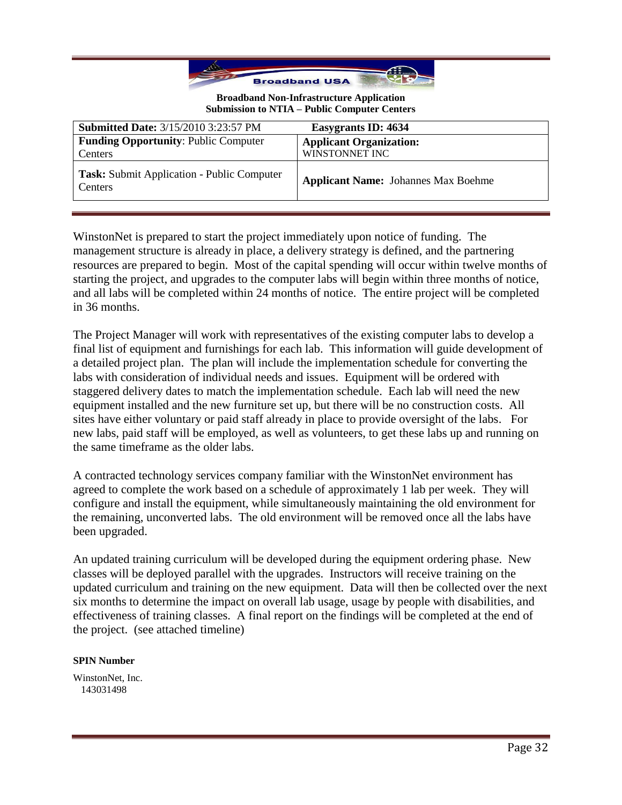

| <b>Submitted Date: 3/15/2010 3:23:57 PM</b>                  | Easygrants ID: 4634                        |
|--------------------------------------------------------------|--------------------------------------------|
| <b>Funding Opportunity: Public Computer</b>                  | <b>Applicant Organization:</b>             |
| Centers                                                      | WINSTONNET INC                             |
| <b>Task:</b> Submit Application - Public Computer<br>Centers | <b>Applicant Name:</b> Johannes Max Boehme |

WinstonNet is prepared to start the project immediately upon notice of funding. The management structure is already in place, a delivery strategy is defined, and the partnering resources are prepared to begin. Most of the capital spending will occur within twelve months of starting the project, and upgrades to the computer labs will begin within three months of notice, and all labs will be completed within 24 months of notice. The entire project will be completed in 36 months.

The Project Manager will work with representatives of the existing computer labs to develop a final list of equipment and furnishings for each lab. This information will guide development of a detailed project plan. The plan will include the implementation schedule for converting the labs with consideration of individual needs and issues. Equipment will be ordered with staggered delivery dates to match the implementation schedule. Each lab will need the new equipment installed and the new furniture set up, but there will be no construction costs. All sites have either voluntary or paid staff already in place to provide oversight of the labs. For new labs, paid staff will be employed, as well as volunteers, to get these labs up and running on the same timeframe as the older labs.

A contracted technology services company familiar with the WinstonNet environment has agreed to complete the work based on a schedule of approximately 1 lab per week. They will configure and install the equipment, while simultaneously maintaining the old environment for the remaining, unconverted labs. The old environment will be removed once all the labs have been upgraded.

An updated training curriculum will be developed during the equipment ordering phase. New classes will be deployed parallel with the upgrades. Instructors will receive training on the updated curriculum and training on the new equipment. Data will then be collected over the next six months to determine the impact on overall lab usage, usage by people with disabilities, and effectiveness of training classes. A final report on the findings will be completed at the end of the project. (see attached timeline)

### **SPIN Number**

WinstonNet, Inc. 143031498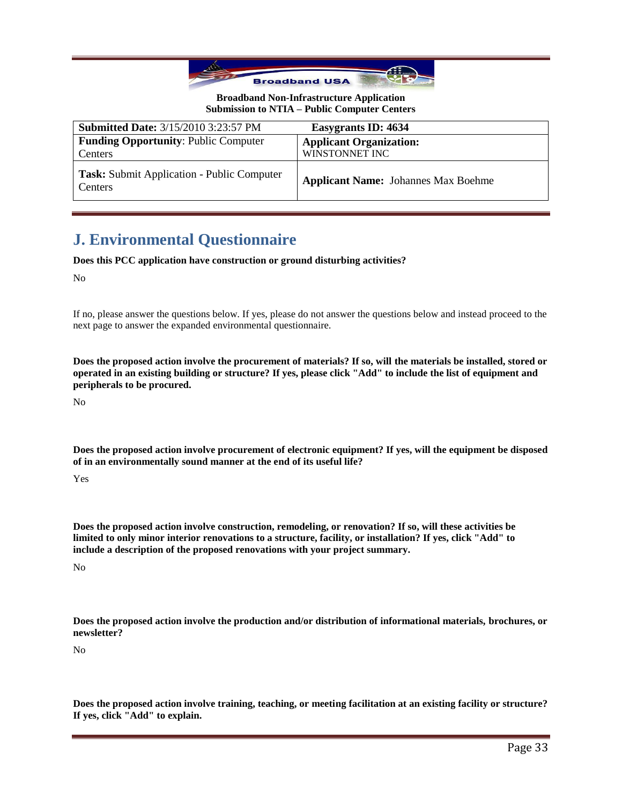

| <b>Submitted Date: 3/15/2010 3:23:57 PM</b>                  | Easygrants ID: 4634                        |
|--------------------------------------------------------------|--------------------------------------------|
| <b>Funding Opportunity: Public Computer</b>                  | <b>Applicant Organization:</b>             |
| Centers                                                      | WINSTONNET INC                             |
| Task: Submit Application - Public Computer<br><b>Centers</b> | <b>Applicant Name:</b> Johannes Max Boehme |

## **J. Environmental Questionnaire**

**Does this PCC application have construction or ground disturbing activities?**

No

If no, please answer the questions below. If yes, please do not answer the questions below and instead proceed to the next page to answer the expanded environmental questionnaire.

**Does the proposed action involve the procurement of materials? If so, will the materials be installed, stored or operated in an existing building or structure? If yes, please click "Add" to include the list of equipment and peripherals to be procured.**

No

**Does the proposed action involve procurement of electronic equipment? If yes, will the equipment be disposed of in an environmentally sound manner at the end of its useful life?**

Yes

**Does the proposed action involve construction, remodeling, or renovation? If so, will these activities be limited to only minor interior renovations to a structure, facility, or installation? If yes, click "Add" to include a description of the proposed renovations with your project summary.**

No

**Does the proposed action involve the production and/or distribution of informational materials, brochures, or newsletter?**

No

**Does the proposed action involve training, teaching, or meeting facilitation at an existing facility or structure? If yes, click "Add" to explain.**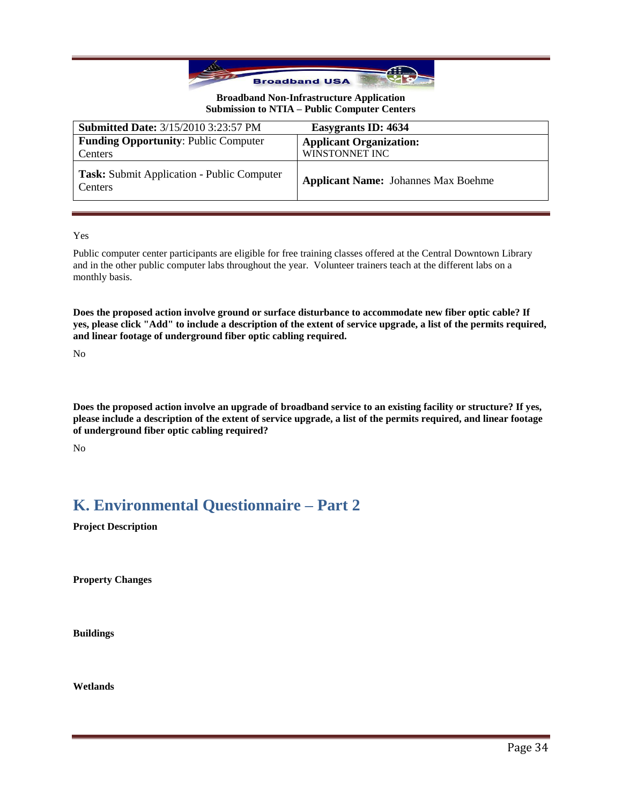

| <b>Submitted Date: 3/15/2010 3:23:57 PM</b>            | Easygrants ID: 4634                              |
|--------------------------------------------------------|--------------------------------------------------|
| <b>Funding Opportunity: Public Computer</b><br>Centers | <b>Applicant Organization:</b><br>WINSTONNET INC |
|                                                        |                                                  |
| Task: Submit Application - Public Computer<br>Centers  | <b>Applicant Name:</b> Johannes Max Boehme       |

Yes

Public computer center participants are eligible for free training classes offered at the Central Downtown Library and in the other public computer labs throughout the year. Volunteer trainers teach at the different labs on a monthly basis.

**Does the proposed action involve ground or surface disturbance to accommodate new fiber optic cable? If yes, please click "Add" to include a description of the extent of service upgrade, a list of the permits required, and linear footage of underground fiber optic cabling required.**

No

**Does the proposed action involve an upgrade of broadband service to an existing facility or structure? If yes, please include a description of the extent of service upgrade, a list of the permits required, and linear footage of underground fiber optic cabling required?**

No

## **K. Environmental Questionnaire – Part 2**

**Project Description**

**Property Changes**

**Buildings**

**Wetlands**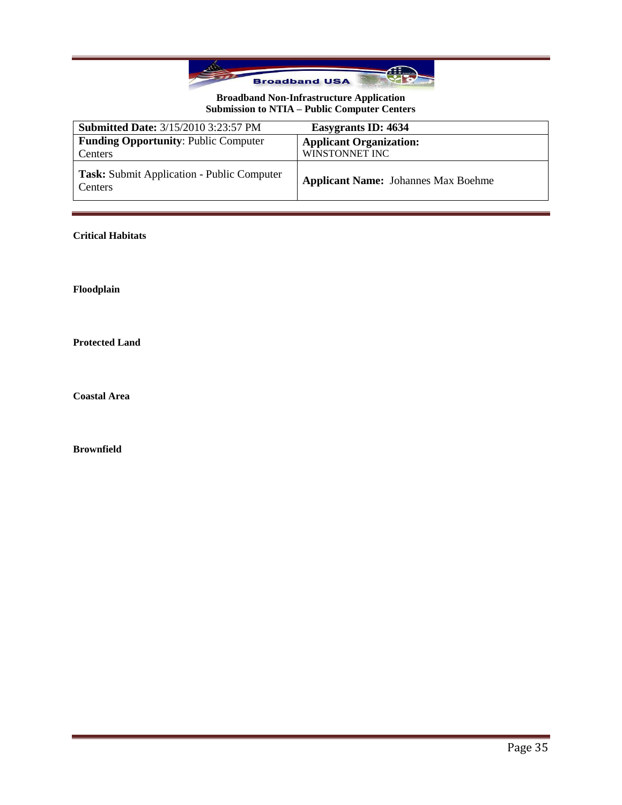

| <b>Submitted Date: 3/15/2010 3:23:57 PM</b>                  | Easygrants ID: 4634                        |
|--------------------------------------------------------------|--------------------------------------------|
| <b>Funding Opportunity: Public Computer</b>                  | <b>Applicant Organization:</b>             |
| Centers                                                      | WINSTONNET INC                             |
| <b>Task:</b> Submit Application - Public Computer<br>Centers | <b>Applicant Name:</b> Johannes Max Boehme |

## **Critical Habitats**

**Floodplain**

**Protected Land**

**Coastal Area**

**Brownfield**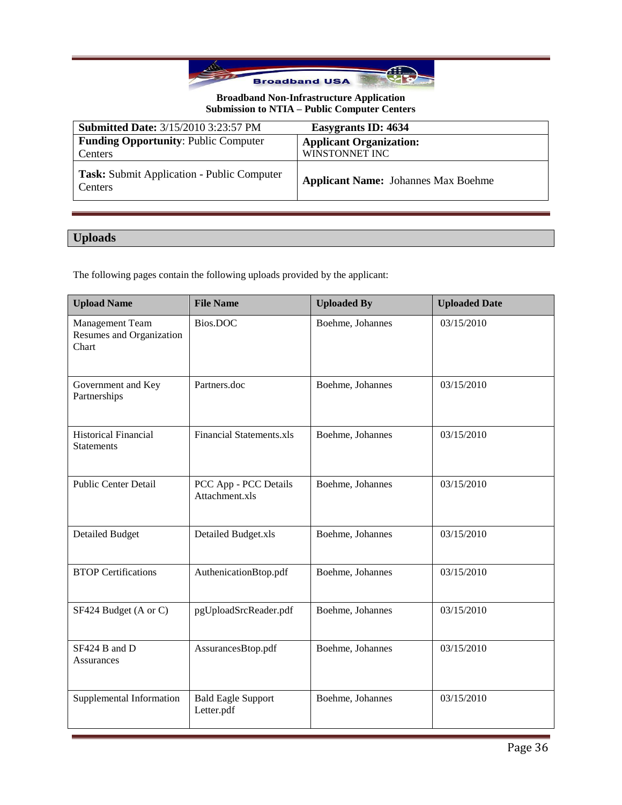

| <b>Submitted Date: 3/15/2010 3:23:57 PM</b>                  | Easygrants ID: 4634                              |
|--------------------------------------------------------------|--------------------------------------------------|
| <b>Funding Opportunity: Public Computer</b><br>Centers       | <b>Applicant Organization:</b><br>WINSTONNET INC |
| <b>Task:</b> Submit Application - Public Computer<br>Centers | <b>Applicant Name:</b> Johannes Max Boehme       |

## **Uploads**

The following pages contain the following uploads provided by the applicant:

| <b>Upload Name</b>                                   | <b>File Name</b>                        | <b>Uploaded By</b> | <b>Uploaded Date</b> |
|------------------------------------------------------|-----------------------------------------|--------------------|----------------------|
| Management Team<br>Resumes and Organization<br>Chart | Bios.DOC                                | Boehme, Johannes   | 03/15/2010           |
| Government and Key<br>Partnerships                   | Partners.doc                            | Boehme, Johannes   | 03/15/2010           |
| <b>Historical Financial</b><br><b>Statements</b>     | <b>Financial Statements.xls</b>         | Boehme, Johannes   | 03/15/2010           |
| <b>Public Center Detail</b>                          | PCC App - PCC Details<br>Attachment.xls | Boehme, Johannes   | 03/15/2010           |
| <b>Detailed Budget</b>                               | Detailed Budget.xls                     | Boehme, Johannes   | 03/15/2010           |
| <b>BTOP Certifications</b>                           | AuthenicationBtop.pdf                   | Boehme, Johannes   | 03/15/2010           |
| SF424 Budget (A or C)                                | pgUploadSrcReader.pdf                   | Boehme, Johannes   | 03/15/2010           |
| SF424 B and D<br><b>Assurances</b>                   | AssurancesBtop.pdf                      | Boehme, Johannes   | 03/15/2010           |
| Supplemental Information                             | <b>Bald Eagle Support</b><br>Letter.pdf | Boehme, Johannes   | 03/15/2010           |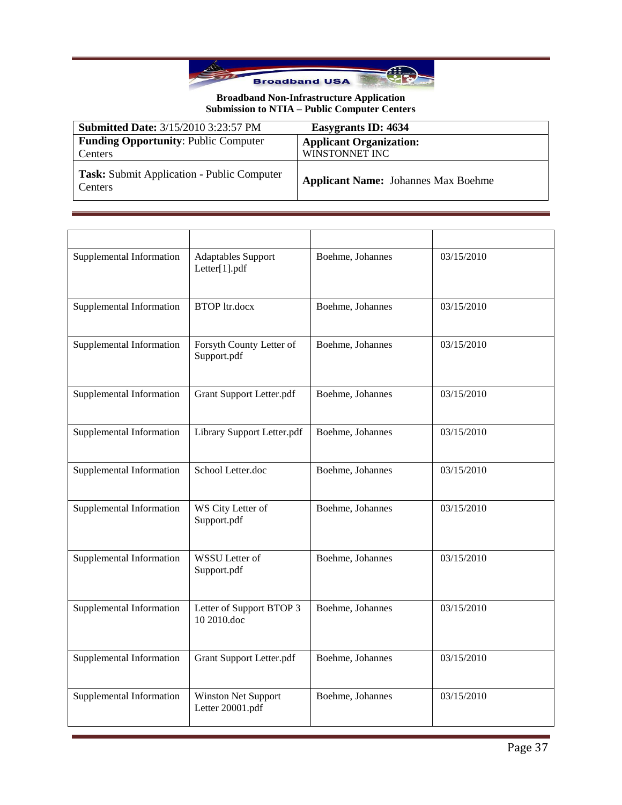

| <b>Submitted Date: 3/15/2010 3:23:57 PM</b>                  | Easygrants ID: 4634                              |
|--------------------------------------------------------------|--------------------------------------------------|
| <b>Funding Opportunity: Public Computer</b><br>Centers       | <b>Applicant Organization:</b><br>WINSTONNET INC |
| <b>Task:</b> Submit Application - Public Computer<br>Centers | <b>Applicant Name:</b> Johannes Max Boehme       |

| Supplemental Information | <b>Adaptables Support</b><br>Letter[1].pdf     | Boehme, Johannes | 03/15/2010 |
|--------------------------|------------------------------------------------|------------------|------------|
| Supplemental Information | <b>BTOP</b> ltr.docx                           | Boehme, Johannes | 03/15/2010 |
| Supplemental Information | Forsyth County Letter of<br>Support.pdf        | Boehme, Johannes | 03/15/2010 |
| Supplemental Information | <b>Grant Support Letter.pdf</b>                | Boehme, Johannes | 03/15/2010 |
| Supplemental Information | Library Support Letter.pdf                     | Boehme, Johannes | 03/15/2010 |
| Supplemental Information | School Letter.doc                              | Boehme, Johannes | 03/15/2010 |
| Supplemental Information | WS City Letter of<br>Support.pdf               | Boehme, Johannes | 03/15/2010 |
| Supplemental Information | <b>WSSU</b> Letter of<br>Support.pdf           | Boehme, Johannes | 03/15/2010 |
| Supplemental Information | Letter of Support BTOP 3<br>10 2010.doc        | Boehme, Johannes | 03/15/2010 |
| Supplemental Information | <b>Grant Support Letter.pdf</b>                | Boehme, Johannes | 03/15/2010 |
| Supplemental Information | <b>Winston Net Support</b><br>Letter 20001.pdf | Boehme, Johannes | 03/15/2010 |